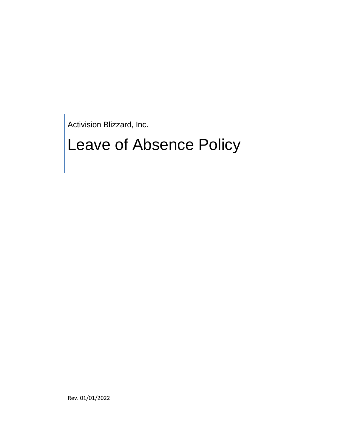Activision Blizzard, Inc.

# Leave of Absence Policy

Rev. 01/01/2022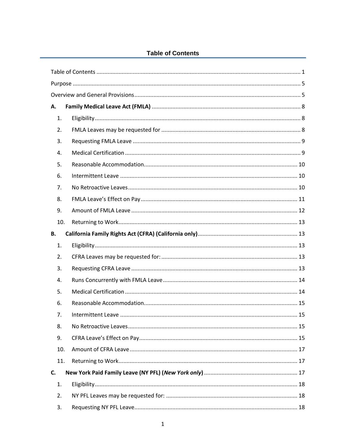# **Table of Contents**

<span id="page-1-0"></span>

| А.  |  |
|-----|--|
| 1.  |  |
| 2.  |  |
| 3.  |  |
| 4.  |  |
| 5.  |  |
| 6.  |  |
| 7.  |  |
| 8.  |  |
| 9.  |  |
| 10. |  |
| В.  |  |
| 1.  |  |
| 2.  |  |
| 3.  |  |
| 4.  |  |
| 5.  |  |
| 6.  |  |
| 7.  |  |
| 8.  |  |
| 9.  |  |
| 10. |  |
| 11. |  |
| C.  |  |
| 1.  |  |
| 2.  |  |
| 3.  |  |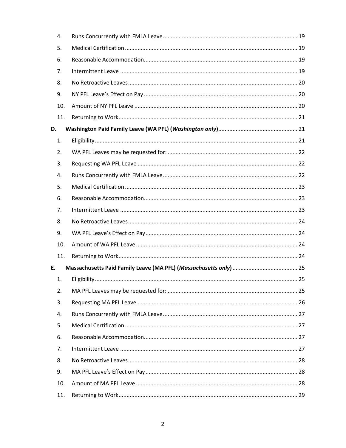|    | 4.  |  |
|----|-----|--|
|    | 5.  |  |
|    | 6.  |  |
|    | 7.  |  |
|    | 8.  |  |
|    | 9.  |  |
|    | 10. |  |
|    | 11. |  |
| D. |     |  |
|    | 1.  |  |
|    | 2.  |  |
|    | 3.  |  |
|    | 4.  |  |
|    | 5.  |  |
|    | 6.  |  |
|    | 7.  |  |
|    | 8.  |  |
|    | 9.  |  |
|    | 10. |  |
|    | 11. |  |
| E. |     |  |
|    | 1.  |  |
|    | 2.  |  |
|    | 3.  |  |
|    | 4.  |  |
|    | 5.  |  |
|    | 6.  |  |
|    | 7.  |  |
|    | 8.  |  |
|    | 9.  |  |
|    | 10. |  |
|    | 11. |  |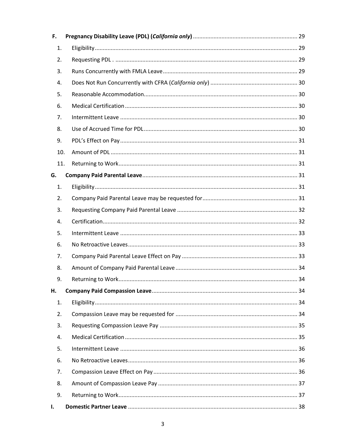| F.  |  |
|-----|--|
| 1.  |  |
| 2.  |  |
| 3.  |  |
| 4.  |  |
| 5.  |  |
| 6.  |  |
| 7.  |  |
| 8.  |  |
| 9.  |  |
| 10. |  |
| 11. |  |
| G.  |  |
| 1.  |  |
| 2.  |  |
| 3.  |  |
| 4.  |  |
| 5.  |  |
| 6.  |  |
| 7.  |  |
| 8.  |  |
| 9.  |  |
| Η.  |  |
| 1.  |  |
| 2.  |  |
| 3.  |  |
| 4.  |  |
| 5.  |  |
| 6.  |  |
| 7.  |  |
| 8.  |  |
| 9.  |  |
| I.  |  |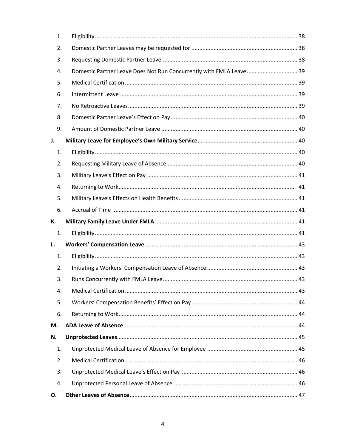| 1. |                                                                     |  |
|----|---------------------------------------------------------------------|--|
| 2. |                                                                     |  |
| 3. |                                                                     |  |
| 4. | Domestic Partner Leave Does Not Run Concurrently with FMLA Leave 39 |  |
| 5. |                                                                     |  |
| 6. |                                                                     |  |
| 7. |                                                                     |  |
| 8. |                                                                     |  |
| 9. |                                                                     |  |
| J. |                                                                     |  |
| 1. |                                                                     |  |
| 2. |                                                                     |  |
| 3. |                                                                     |  |
| 4. |                                                                     |  |
| 5. |                                                                     |  |
| 6. |                                                                     |  |
|    |                                                                     |  |
| К. |                                                                     |  |
| 1. |                                                                     |  |
| L. |                                                                     |  |
| 1. |                                                                     |  |
| 2. |                                                                     |  |
| 3. |                                                                     |  |
| 4. |                                                                     |  |
| 5. |                                                                     |  |
| 6. |                                                                     |  |
| М. |                                                                     |  |
| N. |                                                                     |  |
| 1. |                                                                     |  |
| 2. |                                                                     |  |
| 3. |                                                                     |  |
| 4. |                                                                     |  |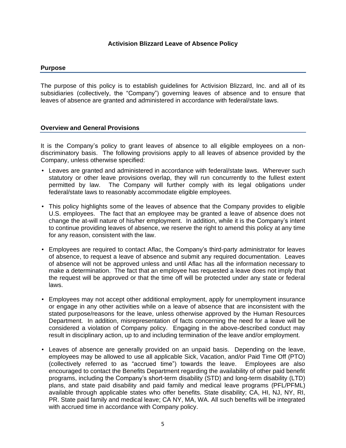## **Activision Blizzard Leave of Absence Policy**

#### <span id="page-5-0"></span>**Purpose**

The purpose of this policy is to establish guidelines for Activision Blizzard, Inc. and all of its subsidiaries (collectively, the "Company") governing leaves of absence and to ensure that leaves of absence are granted and administered in accordance with federal/state laws.

## <span id="page-5-1"></span>**Overview and General Provisions**

It is the Company's policy to grant leaves of absence to all eligible employees on a nondiscriminatory basis. The following provisions apply to all leaves of absence provided by the Company, unless otherwise specified:

- Leaves are granted and administered in accordance with federal/state laws. Wherever such statutory or other leave provisions overlap, they will run concurrently to the fullest extent permitted by law. The Company will further comply with its legal obligations under federal/state laws to reasonably accommodate eligible employees.
- This policy highlights some of the leaves of absence that the Company provides to eligible U.S. employees. The fact that an employee may be granted a leave of absence does not change the at-will nature of his/her employment. In addition, while it is the Company's intent to continue providing leaves of absence, we reserve the right to amend this policy at any time for any reason, consistent with the law.
- Employees are required to contact Aflac, the Company's third-party administrator for leaves of absence, to request a leave of absence and submit any required documentation. Leaves of absence will not be approved unless and until Aflac has all the information necessary to make a determination. The fact that an employee has requested a leave does not imply that the request will be approved or that the time off will be protected under any state or federal laws.
- Employees may not accept other additional employment, apply for unemployment insurance or engage in any other activities while on a leave of absence that are inconsistent with the stated purpose/reasons for the leave, unless otherwise approved by the Human Resources Department. In addition, misrepresentation of facts concerning the need for a leave will be considered a violation of Company policy. Engaging in the above-described conduct may result in disciplinary action, up to and including termination of the leave and/or employment.
- Leaves of absence are generally provided on an unpaid basis. Depending on the leave, employees may be allowed to use all applicable Sick, Vacation, and/or Paid Time Off (PTO) (collectively referred to as "accrued time") towards the leave. Employees are also encouraged to contact the Benefits Department regarding the availability of other paid benefit programs, including the Company's short-term disability (STD) and long-term disability (LTD) plans, and state paid disability and paid family and medical leave programs (PFL/PFML) available through applicable states who offer benefits. State disability; CA, HI, NJ, NY, RI, PR. State paid family and medical leave; CA NY, MA, WA. All such benefits will be integrated with accrued time in accordance with Company policy.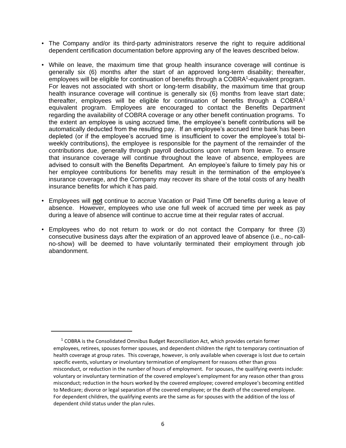- The Company and/or its third-party administrators reserve the right to require additional dependent certification documentation before approving any of the leaves described below.
- While on leave, the maximum time that group health insurance coverage will continue is generally six (6) months after the start of an approved long-term disability; thereafter, employees will be eligible for continuation of benefits through a COBRA<sup>1</sup>-equivalent program. For leaves not associated with short or long-term disability, the maximum time that group health insurance coverage will continue is generally six (6) months from leave start date; thereafter, employees will be eligible for continuation of benefits through a  $COBRA<sup>1</sup>$ equivalent program. Employees are encouraged to contact the Benefits Department regarding the availability of COBRA coverage or any other benefit continuation programs. To the extent an employee is using accrued time, the employee's benefit contributions will be automatically deducted from the resulting pay. If an employee's accrued time bank has been depleted (or if the employee's accrued time is insufficient to cover the employee's total biweekly contributions), the employee is responsible for the payment of the remainder of the contributions due, generally through payroll deductions upon return from leave. To ensure that insurance coverage will continue throughout the leave of absence, employees are advised to consult with the Benefits Department. An employee's failure to timely pay his or her employee contributions for benefits may result in the termination of the employee's insurance coverage, and the Company may recover its share of the total costs of any health insurance benefits for which it has paid.
- Employees will **not** continue to accrue Vacation or Paid Time Off benefits during a leave of absence. However, employees who use one full week of accrued time per week as pay during a leave of absence will continue to accrue time at their regular rates of accrual.
- Employees who do not return to work or do not contact the Company for three (3) consecutive business days after the expiration of an approved leave of absence (i.e., no-callno-show) will be deemed to have voluntarily terminated their employment through job abandonment.

 $1$  COBRA is the Consolidated Omnibus Budget Reconciliation Act, which provides certain former employees, retirees, spouses former spouses, and dependent children the right to temporary continuation of health coverage at group rates. This coverage, however, is only available when coverage is lost due to certain specific events, voluntary or involuntary termination of employment for reasons other than gross misconduct, or reduction in the number of hours of employment. For spouses, the qualifying events include: voluntary or involuntary termination of the covered employee's employment for any reason other than gross misconduct; reduction in the hours worked by the covered employee; covered employee's becoming entitled to Medicare; divorce or legal separation of the covered employee; or the death of the covered employee. For dependent children, the qualifying events are the same as for spouses with the addition of the loss of dependent child status under the plan rules.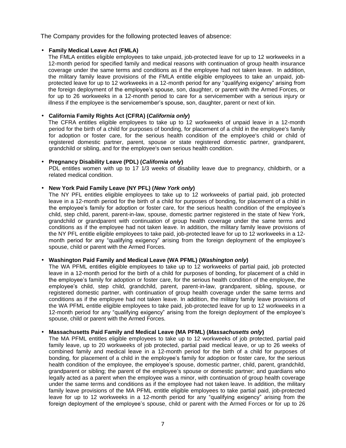The Company provides for the following protected leaves of absence:

#### • **Family Medical Leave Act (FMLA)**

The FMLA entitles eligible employees to take unpaid, job-protected leave for up to 12 workweeks in a 12-month period for specified family and medical reasons with continuation of group health insurance coverage under the same terms and conditions as if the employee had not taken leave. In addition, the military family leave provisions of the FMLA entitle eligible employees to take an unpaid, jobprotected leave for up to 12 workweeks in a 12-month period for any "qualifying exigency" arising from the foreign deployment of the employee's spouse, son, daughter, or parent with the Armed Forces, or for up to 26 workweeks in a 12-month period to care for a servicemember with a serious injury or illness if the employee is the servicemember's spouse, son, daughter, parent or next of kin.

#### • **California Family Rights Act (CFRA) (***California only***)**

The CFRA entitles eligible employees to take up to 12 workweeks of unpaid leave in a 12-month period for the birth of a child for purposes of bonding, for placement of a child in the employee's family for adoption or foster care, for the serious health condition of the employee's child or child of registered domestic partner, parent, spouse or state registered domestic partner, grandparent, grandchild or sibling, and for the employee's own serious health condition.

#### • **Pregnancy Disability Leave (PDL) (***California only***)**

PDL entitles women with up to 17 1/3 weeks of disability leave due to pregnancy, childbirth, or a related medical condition.

#### • **New York Paid Family Leave (NY PFL) (***New York only***)**

The NY PFL entitles eligible employees to take up to 12 workweeks of partial paid, job protected leave in a 12-month period for the birth of a child for purposes of bonding, for placement of a child in the employee's family for adoption or foster care, for the serious health condition of the employee's child, step child, parent, parent-in-law, spouse, domestic partner registered in the state of New York, grandchild or grandparent with continuation of group health coverage under the same terms and conditions as if the employee had not taken leave. In addition, the military family leave provisions of the NY PFL entitle eligible employees to take paid, job-protected leave for up to 12 workweeks in a 12 month period for any "qualifying exigency" arising from the foreign deployment of the employee's spouse, child or parent with the Armed Forces.

#### • **Washington Paid Family and Medical Leave (WA PFML) (***Washington only***)**

The WA PFML entitles eligible employees to take up to 12 workweeks of partial paid, job protected leave in a 12-month period for the birth of a child for purposes of bonding, for placement of a child in the employee's family for adoption or foster care, for the serious health condition of the employee, the employee's child, step child, grandchild, parent, parent-in-law, grandparent, sibling, spouse, or registered domestic partner, with continuation of group health coverage under the same terms and conditions as if the employee had not taken leave. In addition, the military family leave provisions of the WA PFML entitle eligible employees to take paid, job-protected leave for up to 12 workweeks in a 12-month period for any "qualifying exigency" arising from the foreign deployment of the employee's spouse, child or parent with the Armed Forces.

#### • **Massachusetts Paid Family and Medical Leave (MA PFML) (***Massachusetts only***)**

The MA PFML entitles eligible employees to take up to 12 workweeks of job protected, partial paid family leave, up to 20 workweeks of job protected, partial paid medical leave, or up to 26 weeks of combined family and medical leave in a 12-month period for the birth of a child for purposes of bonding, for placement of a child in the employee's family for adoption or foster care, for the serious health condition of the employee, the employee's spouse, domestic partner, child, parent, grandchild, grandparent or sibling; the parent of the employee's spouse or domestic partner; and guardians who legally acted as a parent when the employee was a minor, with continuation of group health coverage under the same terms and conditions as if the employee had not taken leave. In addition, the military family leave provisions of the MA PFML entitle eligible employees to take partial paid, job-protected leave for up to 12 workweeks in a 12-month period for any "qualifying exigency" arising from the foreign deployment of the employee's spouse, child or parent with the Armed Forces or for up to 26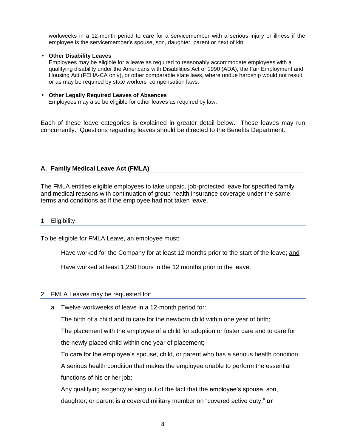workweeks in a 12-month period to care for a servicemember with a serious injury or illness if the employee is the servicemember's spouse, son, daughter, parent or next of kin.

#### • **Other Disability Leaves**

Employees may be eligible for a leave as required to reasonably accommodate employees with a qualifying disability under the Americans with Disabilities Act of 1990 (ADA), the Fair Employment and Housing Act (FEHA-CA only), or other comparable state laws, where undue hardship would not result, or as may be required by state workers' compensation laws.

#### • **Other Legally Required Leaves of Absences**

Employees may also be eligible for other leaves as required by law.

Each of these leave categories is explained in greater detail below. These leaves may run concurrently. Questions regarding leaves should be directed to the Benefits Department.

## **A. Family Medical Leave Act (FMLA)**

The FMLA entitles eligible employees to take unpaid, job-protected leave for specified family and medical reasons with continuation of group health insurance coverage under the same terms and conditions as if the employee had not taken leave.

#### <span id="page-8-0"></span>1. Eligibility

To be eligible for FMLA Leave, an employee must:

Have worked for the Company for at least 12 months prior to the start of the leave; and

Have worked at least 1,250 hours in the 12 months prior to the leave.

#### <span id="page-8-1"></span>2. FMLA Leaves may be requested for:

a. Twelve workweeks of leave in a 12-month period for:

The birth of a child and to care for the newborn child within one year of birth;

The placement with the employee of a child for adoption or foster care and to care for the newly placed child within one year of placement;

To care for the employee's spouse, child, or parent who has a serious health condition;

A serious health condition that makes the employee unable to perform the essential functions of his or her job;

Any qualifying exigency arising out of the fact that the employee's spouse, son, daughter, or parent is a covered military member on "covered active duty;" **or**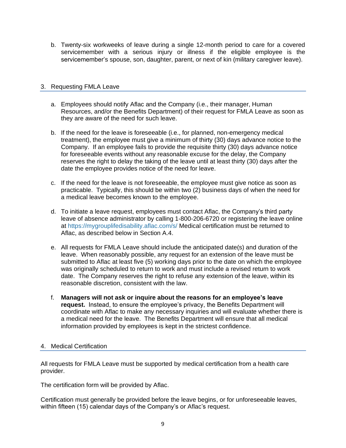b. Twenty-six workweeks of leave during a single 12-month period to care for a covered servicemember with a serious injury or illness if the eligible employee is the servicemember's spouse, son, daughter, parent, or next of kin (military caregiver leave).

## <span id="page-9-0"></span>3. Requesting FMLA Leave

- a. Employees should notify Aflac and the Company (i.e., their manager, Human Resources, and/or the Benefits Department) of their request for FMLA Leave as soon as they are aware of the need for such leave.
- b. If the need for the leave is foreseeable (i.e., for planned, non-emergency medical treatment), the employee must give a minimum of thirty (30) days advance notice to the Company. If an employee fails to provide the requisite thirty (30) days advance notice for foreseeable events without any reasonable excuse for the delay, the Company reserves the right to delay the taking of the leave until at least thirty (30) days after the date the employee provides notice of the need for leave.
- c. If the need for the leave is not foreseeable, the employee must give notice as soon as practicable. Typically, this should be within two (2) business days of when the need for a medical leave becomes known to the employee.
- d. To initiate a leave request, employees must contact Aflac, the Company's third party leave of absence administrator by calling 1-800-206-6720 or registering the leave online at<https://mygrouplifedisability.aflac.com/s/> Medical certification must be returned to Aflac, as described below in Section A.4.
- e. All requests for FMLA Leave should include the anticipated date(s) and duration of the leave. When reasonably possible, any request for an extension of the leave must be submitted to Aflac at least five (5) working days prior to the date on which the employee was originally scheduled to return to work and must include a revised return to work date. The Company reserves the right to refuse any extension of the leave, within its reasonable discretion, consistent with the law.
- f. **Managers will not ask or inquire about the reasons for an employee's leave request.** Instead, to ensure the employee's privacy, the Benefits Department will coordinate with Aflac to make any necessary inquiries and will evaluate whether there is a medical need for the leave. The Benefits Department will ensure that all medical information provided by employees is kept in the strictest confidence.

#### <span id="page-9-1"></span>4. Medical Certification

All requests for FMLA Leave must be supported by medical certification from a health care provider.

The certification form will be provided by Aflac.

Certification must generally be provided before the leave begins, or for unforeseeable leaves, within fifteen (15) calendar days of the Company's or Aflac's request.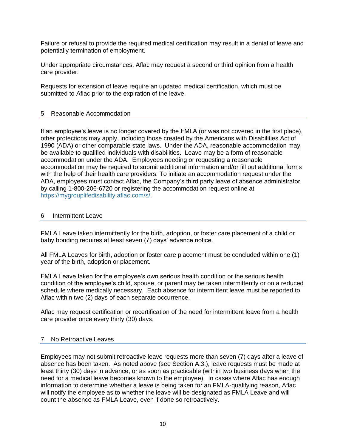Failure or refusal to provide the required medical certification may result in a denial of leave and potentially termination of employment.

Under appropriate circumstances, Aflac may request a second or third opinion from a health care provider.

Requests for extension of leave require an updated medical certification, which must be submitted to Aflac prior to the expiration of the leave.

## <span id="page-10-0"></span>5. Reasonable Accommodation

If an employee's leave is no longer covered by the FMLA (or was not covered in the first place), other protections may apply, including those created by the Americans with Disabilities Act of 1990 (ADA) or other comparable state laws. Under the ADA, reasonable accommodation may be available to qualified individuals with disabilities. Leave may be a form of reasonable accommodation under the ADA. Employees needing or requesting a reasonable accommodation may be required to submit additional information and/or fill out additional forms with the help of their health care providers. To initiate an accommodation request under the ADA, employees must contact Aflac, the Company's third party leave of absence administrator by calling 1-800-206-6720 or registering the accommodation request online at [https://mygrouplifedisability.aflac.com/s/.](https://mygrouplifedisability.aflac.com/s/)

## <span id="page-10-1"></span>6. Intermittent Leave

FMLA Leave taken intermittently for the birth, adoption, or foster care placement of a child or baby bonding requires at least seven (7) days' advance notice.

All FMLA Leaves for birth, adoption or foster care placement must be concluded within one (1) year of the birth, adoption or placement.

FMLA Leave taken for the employee's own serious health condition or the serious health condition of the employee's child, spouse, or parent may be taken intermittently or on a reduced schedule where medically necessary. Each absence for intermittent leave must be reported to Aflac within two (2) days of each separate occurrence.

Aflac may request certification or recertification of the need for intermittent leave from a health care provider once every thirty (30) days.

#### <span id="page-10-2"></span>7. No Retroactive Leaves

Employees may not submit retroactive leave requests more than seven (7) days after a leave of absence has been taken. As noted above (see Section A.3.), leave requests must be made at least thirty (30) days in advance, or as soon as practicable (within two business days when the need for a medical leave becomes known to the employee). In cases where Aflac has enough information to determine whether a leave is being taken for an FMLA-qualifying reason, Aflac will notify the employee as to whether the leave will be designated as FMLA Leave and will count the absence as FMLA Leave, even if done so retroactively.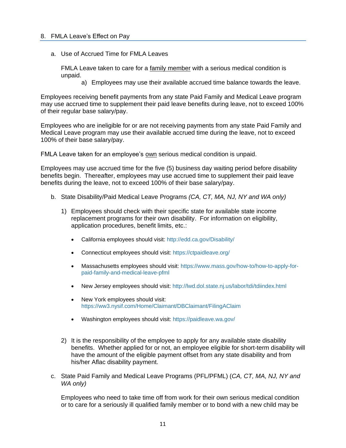<span id="page-11-0"></span>a. Use of Accrued Time for FMLA Leaves

FMLA Leave taken to care for a family member with a serious medical condition is unpaid.

a) Employees may use their available accrued time balance towards the leave.

Employees receiving benefit payments from any state Paid Family and Medical Leave program may use accrued time to supplement their paid leave benefits during leave, not to exceed 100% of their regular base salary/pay.

Employees who are ineligible for or are not receiving payments from any state Paid Family and Medical Leave program may use their available accrued time during the leave, not to exceed 100% of their base salary/pay.

FMLA Leave taken for an employee's own serious medical condition is unpaid.

Employees may use accrued time for the five (5) business day waiting period before disability benefits begin. Thereafter, employees may use accrued time to supplement their paid leave benefits during the leave, not to exceed 100% of their base salary/pay.

- b. State Disability/Paid Medical Leave Programs *(CA, CT, MA, NJ, NY and WA only)*
	- 1) Employees should check with their specific state for available state income replacement programs for their own disability. For information on eligibility, application procedures, benefit limits, etc.:
		- California employees should visit:<http://edd.ca.gov/Disability/>
		- Connecticut employees should visit:<https://ctpaidleave.org/>
		- Massachusetts employees should visit: [https://www.mass.gov/how-to/how-to-apply-for](https://www.mass.gov/how-to/how-to-apply-for-paid-family-and-medical-leave-pfml)[paid-family-and-medical-leave-pfml](https://www.mass.gov/how-to/how-to-apply-for-paid-family-and-medical-leave-pfml)
		- New Jersey employees should visit:<http://lwd.dol.state.nj.us/labor/tdi/tdiindex.html>
		- New York employees should visit: <https://ww3.nysif.com/Home/Claimant/DBClaimant/FilingAClaim>
		- Washington employees should visit:<https://paidleave.wa.gov/>
	- 2) It is the responsibility of the employee to apply for any available state disability benefits. Whether applied for or not, an employee eligible for short-term disability will have the amount of the eligible payment offset from any state disability and from his/her Aflac disability payment.
- c. State Paid Family and Medical Leave Programs (PFL/PFML) (*CA, CT, MA, NJ, NY and WA only)*

Employees who need to take time off from work for their own serious medical condition or to care for a seriously ill qualified family member or to bond with a new child may be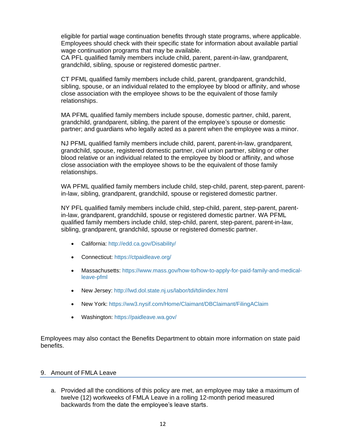eligible for partial wage continuation benefits through state programs, where applicable. Employees should check with their specific state for information about available partial wage continuation programs that may be available.

CA PFL qualified family members include child, parent, parent-in-law, grandparent, grandchild, sibling, spouse or registered domestic partner.

CT PFML qualified family members include child, parent, grandparent, grandchild, sibling, spouse, or an individual related to the employee by blood or affinity, and whose close association with the employee shows to be the equivalent of those family relationships.

MA PFML qualified family members include spouse, domestic partner, child, parent, grandchild, grandparent, sibling, the parent of the employee's spouse or domestic partner; and guardians who legally acted as a parent when the employee was a minor.

NJ PFML qualified family members include child, parent, parent-in-law, grandparent, grandchild, spouse, registered domestic partner, civil union partner, sibling or other blood relative or an individual related to the employee by blood or affinity, and whose close association with the employee shows to be the equivalent of those family relationships.

WA PFML qualified family members include child, step-child, parent, step-parent, parentin-law, sibling, grandparent, grandchild, spouse or registered domestic partner.

NY PFL qualified family members include child, step-child, parent, step-parent, parentin-law, grandparent, grandchild, spouse or registered domestic partner. WA PFML qualified family members include child, step-child, parent, step-parent, parent-in-law, sibling, grandparent, grandchild, spouse or registered domestic partner.

- California:<http://edd.ca.gov/Disability/>
- Connecticut:<https://ctpaidleave.org/>
- Massachusetts: [https://www.mass.gov/how-to/how-to-apply-for-paid-family-and-medical](https://www.mass.gov/how-to/how-to-apply-for-paid-family-and-medical-leave-pfml)[leave-pfml](https://www.mass.gov/how-to/how-to-apply-for-paid-family-and-medical-leave-pfml)
- New Jersey:<http://lwd.dol.state.nj.us/labor/tdi/tdiindex.html>
- New York: <https://ww3.nysif.com/Home/Claimant/DBClaimant/FilingAClaim>
- Washington:<https://paidleave.wa.gov/>

Employees may also contact the Benefits Department to obtain more information on state paid benefits.

#### <span id="page-12-0"></span>9. Amount of FMLA Leave

a. Provided all the conditions of this policy are met, an employee may take a maximum of twelve (12) workweeks of FMLA Leave in a rolling 12-month period measured backwards from the date the employee's leave starts.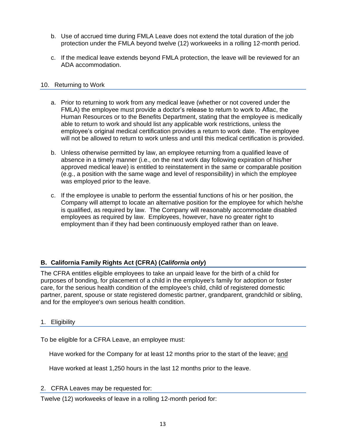- b. Use of accrued time during FMLA Leave does not extend the total duration of the job protection under the FMLA beyond twelve (12) workweeks in a rolling 12-month period.
- c. If the medical leave extends beyond FMLA protection, the leave will be reviewed for an ADA accommodation.

## <span id="page-13-0"></span>10. Returning to Work

- a. Prior to returning to work from any medical leave (whether or not covered under the FMLA) the employee must provide a doctor's release to return to work to Aflac, the Human Resources or to the Benefits Department, stating that the employee is medically able to return to work and should list any applicable work restrictions, unless the employee's original medical certification provides a return to work date. The employee will not be allowed to return to work unless and until this medical certification is provided.
- b. Unless otherwise permitted by law, an employee returning from a qualified leave of absence in a timely manner (i.e., on the next work day following expiration of his/her approved medical leave) is entitled to reinstatement in the same or comparable position (e.g., a position with the same wage and level of responsibility) in which the employee was employed prior to the leave.
- c. If the employee is unable to perform the essential functions of his or her position, the Company will attempt to locate an alternative position for the employee for which he/she is qualified, as required by law. The Company will reasonably accommodate disabled employees as required by law. Employees, however, have no greater right to employment than if they had been continuously employed rather than on leave.

# **B. California Family Rights Act (CFRA) (***California only***)**

The CFRA entitles eligible employees to take an unpaid leave for the birth of a child for purposes of bonding, for placement of a child in the employee's family for adoption or foster care, for the serious health condition of the employee's child, child of registered domestic partner, parent, spouse or state registered domestic partner, grandparent, grandchild or sibling, and for the employee's own serious health condition.

## 1. Eligibility

To be eligible for a CFRA Leave, an employee must:

Have worked for the Company for at least 12 months prior to the start of the leave; and

Have worked at least 1,250 hours in the last 12 months prior to the leave.

## 2. CFRA Leaves may be requested for:

Twelve (12) workweeks of leave in a rolling 12-month period for: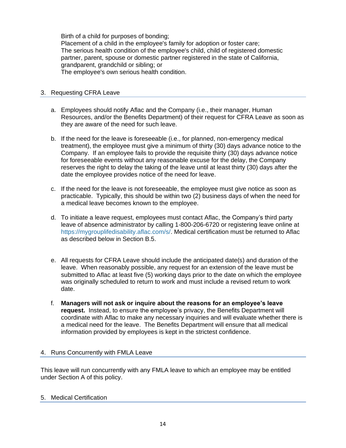Birth of a child for purposes of bonding; Placement of a child in the employee's family for adoption or foster care; The serious health condition of the employee's child, child of registered domestic partner, parent, spouse or domestic partner registered in the state of California, grandparent, grandchild or sibling; or The employee's own serious health condition.

# 3. Requesting CFRA Leave

- a. Employees should notify Aflac and the Company (i.e., their manager, Human Resources, and/or the Benefits Department) of their request for CFRA Leave as soon as they are aware of the need for such leave.
- b. If the need for the leave is foreseeable (i.e., for planned, non-emergency medical treatment), the employee must give a minimum of thirty (30) days advance notice to the Company. If an employee fails to provide the requisite thirty (30) days advance notice for foreseeable events without any reasonable excuse for the delay, the Company reserves the right to delay the taking of the leave until at least thirty (30) days after the date the employee provides notice of the need for leave.
- c. If the need for the leave is not foreseeable, the employee must give notice as soon as practicable. Typically, this should be within two (2) business days of when the need for a medical leave becomes known to the employee.
- d. To initiate a leave request, employees must contact Aflac, the Company's third party leave of absence administrator by calling 1-800-206-6720 or registering leave online at [https://mygrouplifedisability.aflac.com/s/.](http://www.zurichna.com/myzurichbenefits) Medical certification must be returned to Aflac as described below in Section B.5.
- e. All requests for CFRA Leave should include the anticipated date(s) and duration of the leave. When reasonably possible, any request for an extension of the leave must be submitted to Aflac at least five (5) working days prior to the date on which the employee was originally scheduled to return to work and must include a revised return to work date.
- f. **Managers will not ask or inquire about the reasons for an employee's leave request.** Instead, to ensure the employee's privacy, the Benefits Department will coordinate with Aflac to make any necessary inquiries and will evaluate whether there is a medical need for the leave. The Benefits Department will ensure that all medical information provided by employees is kept in the strictest confidence.

## 4. Runs Concurrently with FMLA Leave

This leave will run concurrently with any FMLA leave to which an employee may be entitled under Section A of this policy.

#### 5. Medical Certification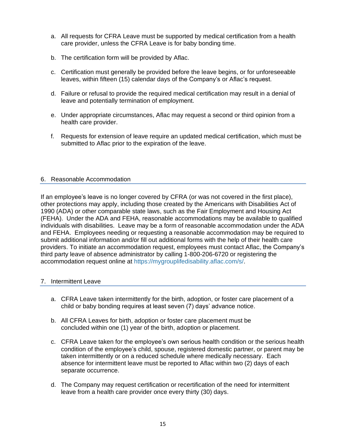- a. All requests for CFRA Leave must be supported by medical certification from a health care provider, unless the CFRA Leave is for baby bonding time.
- b. The certification form will be provided by Aflac.
- c. Certification must generally be provided before the leave begins, or for unforeseeable leaves, within fifteen (15) calendar days of the Company's or Aflac's request.
- d. Failure or refusal to provide the required medical certification may result in a denial of leave and potentially termination of employment.
- e. Under appropriate circumstances, Aflac may request a second or third opinion from a health care provider.
- f. Requests for extension of leave require an updated medical certification, which must be submitted to Aflac prior to the expiration of the leave.

## <span id="page-15-0"></span>6. Reasonable Accommodation

If an employee's leave is no longer covered by CFRA (or was not covered in the first place), other protections may apply, including those created by the Americans with Disabilities Act of 1990 (ADA) or other comparable state laws, such as the Fair Employment and Housing Act (FEHA). Under the ADA and FEHA, reasonable accommodations may be available to qualified individuals with disabilities. Leave may be a form of reasonable accommodation under the ADA and FEHA. Employees needing or requesting a reasonable accommodation may be required to submit additional information and/or fill out additional forms with the help of their health care providers. To initiate an accommodation request, employees must contact Aflac, the Company's third party leave of absence administrator by calling 1-800-206-6720 or registering the accommodation request online at [https://mygrouplifedisability.aflac.com/s/.](https://mygrouplifedisability.aflac.com/s/)

## 7. Intermittent Leave

- a. CFRA Leave taken intermittently for the birth, adoption, or foster care placement of a child or baby bonding requires at least seven (7) days' advance notice.
- b. All CFRA Leaves for birth, adoption or foster care placement must be concluded within one (1) year of the birth, adoption or placement.
- c. CFRA Leave taken for the employee's own serious health condition or the serious health condition of the employee's child, spouse, registered domestic partner, or parent may be taken intermittently or on a reduced schedule where medically necessary. Each absence for intermittent leave must be reported to Aflac within two (2) days of each separate occurrence.
- d. The Company may request certification or recertification of the need for intermittent leave from a health care provider once every thirty (30) days.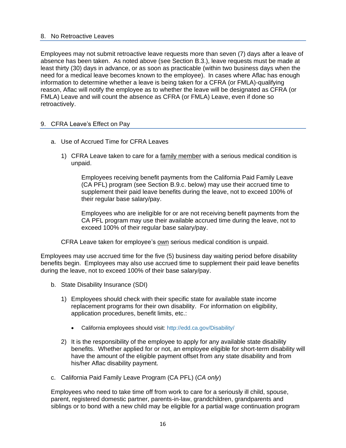#### 8. No Retroactive Leaves

Employees may not submit retroactive leave requests more than seven (7) days after a leave of absence has been taken. As noted above (see Section B.3.), leave requests must be made at least thirty (30) days in advance, or as soon as practicable (within two business days when the need for a medical leave becomes known to the employee). In cases where Aflac has enough information to determine whether a leave is being taken for a CFRA (or FMLA)-qualifying reason, Aflac will notify the employee as to whether the leave will be designated as CFRA (or FMLA) Leave and will count the absence as CFRA (or FMLA) Leave, even if done so retroactively.

## 9. CFRA Leave's Effect on Pay

- a. Use of Accrued Time for CFRA Leaves
	- 1) CFRA Leave taken to care for a family member with a serious medical condition is unpaid.

Employees receiving benefit payments from the California Paid Family Leave (CA PFL) program (see Section B.9.c. below) may use their accrued time to supplement their paid leave benefits during the leave, not to exceed 100% of their regular base salary/pay.

Employees who are ineligible for or are not receiving benefit payments from the CA PFL program may use their available accrued time during the leave, not to exceed 100% of their regular base salary/pay.

CFRA Leave taken for employee's own serious medical condition is unpaid.

Employees may use accrued time for the five (5) business day waiting period before disability benefits begin. Employees may also use accrued time to supplement their paid leave benefits during the leave, not to exceed 100% of their base salary/pay.

- b. State Disability Insurance (SDI)
	- 1) Employees should check with their specific state for available state income replacement programs for their own disability. For information on eligibility, application procedures, benefit limits, etc.:
		- California employees should visit:<http://edd.ca.gov/Disability/>
	- 2) It is the responsibility of the employee to apply for any available state disability benefits. Whether applied for or not, an employee eligible for short-term disability will have the amount of the eligible payment offset from any state disability and from his/her Aflac disability payment.
- c. California Paid Family Leave Program (CA PFL) (*CA only*)

Employees who need to take time off from work to care for a seriously ill child, spouse, parent, registered domestic partner, parents-in-law, grandchildren, grandparents and siblings or to bond with a new child may be eligible for a partial wage continuation program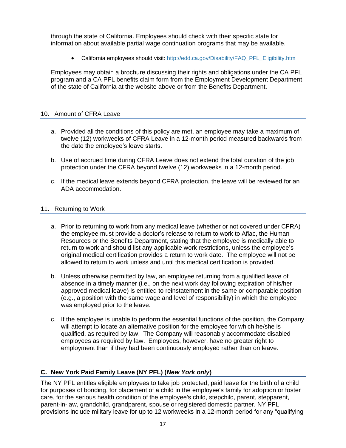through the state of California. Employees should check with their specific state for information about available partial wage continuation programs that may be available.

• California employees should visit: [http://edd.ca.gov/Disability/FAQ\\_PFL\\_Eligibility.htm](http://edd.ca.gov/Disability/FAQ_PFL_Eligibility.htm)

Employees may obtain a brochure discussing their rights and obligations under the CA PFL program and a CA PFL benefits claim form from the Employment Development Department of the state of California at the website above or from the Benefits Department.

# 10. Amount of CFRA Leave

- a. Provided all the conditions of this policy are met, an employee may take a maximum of twelve (12) workweeks of CFRA Leave in a 12-month period measured backwards from the date the employee's leave starts.
- b. Use of accrued time during CFRA Leave does not extend the total duration of the job protection under the CFRA beyond twelve (12) workweeks in a 12-month period.
- c. If the medical leave extends beyond CFRA protection, the leave will be reviewed for an ADA accommodation.

## 11. Returning to Work

- a. Prior to returning to work from any medical leave (whether or not covered under CFRA) the employee must provide a doctor's release to return to work to Aflac, the Human Resources or the Benefits Department, stating that the employee is medically able to return to work and should list any applicable work restrictions, unless the employee's original medical certification provides a return to work date. The employee will not be allowed to return to work unless and until this medical certification is provided.
- b. Unless otherwise permitted by law, an employee returning from a qualified leave of absence in a timely manner (i.e., on the next work day following expiration of his/her approved medical leave) is entitled to reinstatement in the same or comparable position (e.g., a position with the same wage and level of responsibility) in which the employee was employed prior to the leave.
- c. If the employee is unable to perform the essential functions of the position, the Company will attempt to locate an alternative position for the employee for which he/she is qualified, as required by law. The Company will reasonably accommodate disabled employees as required by law. Employees, however, have no greater right to employment than if they had been continuously employed rather than on leave.

# **C. New York Paid Family Leave (NY PFL) (***New York only***)**

The NY PFL entitles eligible employees to take job protected, paid leave for the birth of a child for purposes of bonding, for placement of a child in the employee's family for adoption or foster care, for the serious health condition of the employee's child, stepchild, parent, stepparent, parent-in-law, grandchild, grandparent, spouse or registered domestic partner. NY PFL provisions include military leave for up to 12 workweeks in a 12-month period for any "qualifying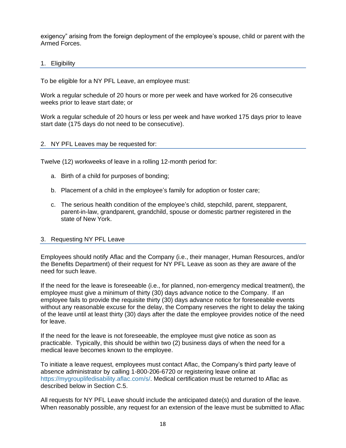exigency" arising from the foreign deployment of the employee's spouse, child or parent with the Armed Forces.

## 1. Eligibility

To be eligible for a NY PFL Leave, an employee must:

Work a regular schedule of 20 hours or more per week and have worked for 26 consecutive weeks prior to leave start date; or

Work a regular schedule of 20 hours or less per week and have worked 175 days prior to leave start date (175 days do not need to be consecutive).

#### 2. NY PFL Leaves may be requested for:

Twelve (12) workweeks of leave in a rolling 12-month period for:

- a. Birth of a child for purposes of bonding;
- b. Placement of a child in the employee's family for adoption or foster care;
- c. The serious health condition of the employee's child, stepchild, parent, stepparent, parent-in-law, grandparent, grandchild, spouse or domestic partner registered in the state of New York.

## 3. Requesting NY PFL Leave

Employees should notify Aflac and the Company (i.e., their manager, Human Resources, and/or the Benefits Department) of their request for NY PFL Leave as soon as they are aware of the need for such leave.

If the need for the leave is foreseeable (i.e., for planned, non-emergency medical treatment), the employee must give a minimum of thirty (30) days advance notice to the Company. If an employee fails to provide the requisite thirty (30) days advance notice for foreseeable events without any reasonable excuse for the delay, the Company reserves the right to delay the taking of the leave until at least thirty (30) days after the date the employee provides notice of the need for leave.

If the need for the leave is not foreseeable, the employee must give notice as soon as practicable. Typically, this should be within two (2) business days of when the need for a medical leave becomes known to the employee.

To initiate a leave request, employees must contact Aflac, the Company's third party leave of absence administrator by calling 1-800-206-6720 or registering leave online at [https://mygrouplifedisability.aflac.com/s/.](http://www.zurichna.com/myzurichbenefits) Medical certification must be returned to Aflac as described below in Section C.5.

All requests for NY PFL Leave should include the anticipated date(s) and duration of the leave. When reasonably possible, any request for an extension of the leave must be submitted to Aflac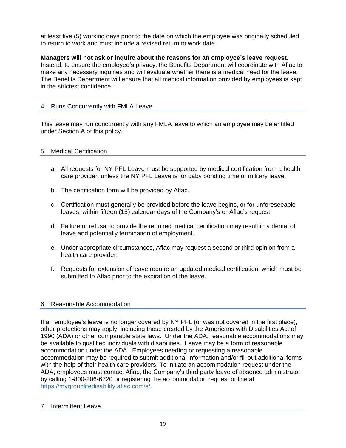at least five (5) working days prior to the date on which the employee was originally scheduled to return to work and must include a revised return to work date.

# **Managers will not ask or inquire about the reasons for an employee's leave request.**

Instead, to ensure the employee's privacy, the Benefits Department will coordinate with Aflac to make any necessary inquiries and will evaluate whether there is a medical need for the leave. The Benefits Department will ensure that all medical information provided by employees is kept in the strictest confidence.

## 4. Runs Concurrently with FMLA Leave

This leave may run concurrently with any FMLA leave to which an employee may be entitled under Section A of this policy.

## 5. Medical Certification

- a. All requests for NY PFL Leave must be supported by medical certification from a health care provider, unless the NY PFL Leave is for baby bonding time or military leave.
- b. The certification form will be provided by Aflac.
- c. Certification must generally be provided before the leave begins, or for unforeseeable leaves, within fifteen (15) calendar days of the Company's or Aflac's request.
- d. Failure or refusal to provide the required medical certification may result in a denial of leave and potentially termination of employment.
- e. Under appropriate circumstances, Aflac may request a second or third opinion from a health care provider.
- f. Requests for extension of leave require an updated medical certification, which must be submitted to Aflac prior to the expiration of the leave.

## 6. Reasonable Accommodation

If an employee's leave is no longer covered by NY PFL (or was not covered in the first place), other protections may apply, including those created by the Americans with Disabilities Act of 1990 (ADA) or other comparable state laws. Under the ADA, reasonable accommodations may be available to qualified individuals with disabilities. Leave may be a form of reasonable accommodation under the ADA. Employees needing or requesting a reasonable accommodation may be required to submit additional information and/or fill out additional forms with the help of their health care providers. To initiate an accommodation request under the ADA, employees must contact Aflac, the Company's third party leave of absence administrator by calling 1-800-206-6720 or registering the accommodation request online at [https://mygrouplifedisability.aflac.com/s/.](http://www.zurichna.com/myzurichbenefits)

## 7. Intermittent Leave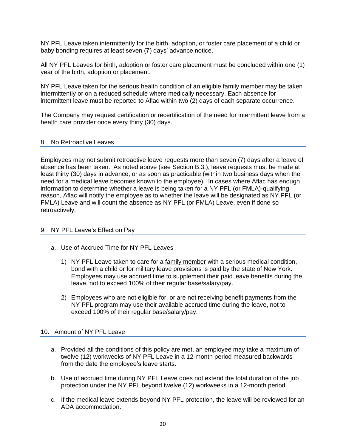NY PFL Leave taken intermittently for the birth, adoption, or foster care placement of a child or baby bonding requires at least seven (7) days' advance notice.

All NY PFL Leaves for birth, adoption or foster care placement must be concluded within one (1) year of the birth, adoption or placement.

NY PFL Leave taken for the serious health condition of an eligible family member may be taken intermittently or on a reduced schedule where medically necessary. Each absence for intermittent leave must be reported to Aflac within two (2) days of each separate occurrence.

The Company may request certification or recertification of the need for intermittent leave from a health care provider once every thirty (30) days.

#### 8. No Retroactive Leaves

Employees may not submit retroactive leave requests more than seven (7) days after a leave of absence has been taken. As noted above (see Section B.3.), leave requests must be made at least thirty (30) days in advance, or as soon as practicable (within two business days when the need for a medical leave becomes known to the employee). In cases where Aflac has enough information to determine whether a leave is being taken for a NY PFL (or FMLA)-qualifying reason, Aflac will notify the employee as to whether the leave will be designated as NY PFL (or FMLA) Leave and will count the absence as NY PFL (or FMLA) Leave, even if done so retroactively.

#### 9. NY PFL Leave's Effect on Pay

- a. Use of Accrued Time for NY PFL Leaves
	- 1) NY PFL Leave taken to care for a family member with a serious medical condition, bond with a child or for military leave provisions is paid by the state of New York. Employees may use accrued time to supplement their paid leave benefits during the leave, not to exceed 100% of their regular base/salary/pay.
	- 2) Employees who are not eligible for, or are not receiving benefit payments from the NY PFL program may use their available accrued time during the leave, not to exceed 100% of their regular base/salary/pay.

#### 10. Amount of NY PFL Leave

- a. Provided all the conditions of this policy are met, an employee may take a maximum of twelve (12) workweeks of NY PFL Leave in a 12-month period measured backwards from the date the employee's leave starts.
- b. Use of accrued time during NY PFL Leave does not extend the total duration of the job protection under the NY PFL beyond twelve (12) workweeks in a 12-month period.
- c. If the medical leave extends beyond NY PFL protection, the leave will be reviewed for an ADA accommodation.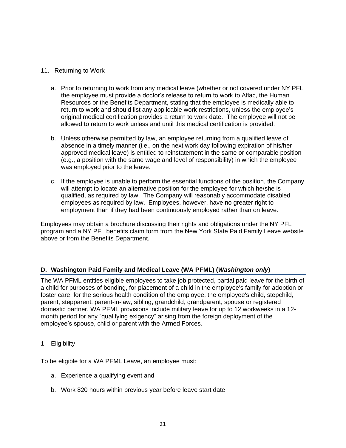## 11. Returning to Work

- a. Prior to returning to work from any medical leave (whether or not covered under NY PFL the employee must provide a doctor's release to return to work to Aflac, the Human Resources or the Benefits Department, stating that the employee is medically able to return to work and should list any applicable work restrictions, unless the employee's original medical certification provides a return to work date. The employee will not be allowed to return to work unless and until this medical certification is provided.
- b. Unless otherwise permitted by law, an employee returning from a qualified leave of absence in a timely manner (i.e., on the next work day following expiration of his/her approved medical leave) is entitled to reinstatement in the same or comparable position (e.g., a position with the same wage and level of responsibility) in which the employee was employed prior to the leave.
- c. If the employee is unable to perform the essential functions of the position, the Company will attempt to locate an alternative position for the employee for which he/she is qualified, as required by law. The Company will reasonably accommodate disabled employees as required by law. Employees, however, have no greater right to employment than if they had been continuously employed rather than on leave.

Employees may obtain a brochure discussing their rights and obligations under the NY PFL program and a NY PFL benefits claim form from the New York State Paid Family Leave website above or from the Benefits Department.

## **D. Washington Paid Family and Medical Leave (WA PFML) (***Washington only***)**

The WA PFML entitles eligible employees to take job protected, partial paid leave for the birth of a child for purposes of bonding, for placement of a child in the employee's family for adoption or foster care, for the serious health condition of the employee, the employee's child, stepchild, parent, stepparent, parent-in-law, sibling, grandchild, grandparent, spouse or registered domestic partner. WA PFML provisions include military leave for up to 12 workweeks in a 12 month period for any "qualifying exigency" arising from the foreign deployment of the employee's spouse, child or parent with the Armed Forces.

## 1. Eligibility

To be eligible for a WA PFML Leave, an employee must:

- a. Experience a qualifying event and
- b. Work 820 hours within previous year before leave start date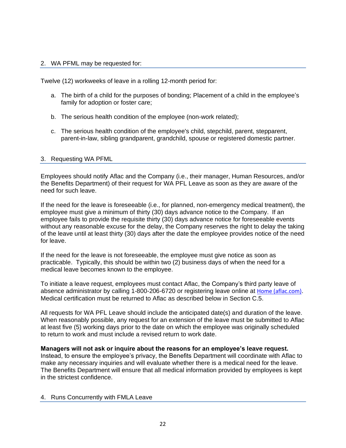## 2. WA PFML may be requested for:

Twelve (12) workweeks of leave in a rolling 12-month period for:

- a. The birth of a child for the purposes of bonding; Placement of a child in the employee's family for adoption or foster care;
- b. The serious health condition of the employee (non-work related);
- c. The serious health condition of the employee's child, stepchild, parent, stepparent, parent-in-law, sibling grandparent, grandchild, spouse or registered domestic partner.

## 3. Requesting WA PFML

Employees should notify Aflac and the Company (i.e., their manager, Human Resources, and/or the Benefits Department) of their request for WA PFL Leave as soon as they are aware of the need for such leave.

If the need for the leave is foreseeable (i.e., for planned, non-emergency medical treatment), the employee must give a minimum of thirty (30) days advance notice to the Company. If an employee fails to provide the requisite thirty (30) days advance notice for foreseeable events without any reasonable excuse for the delay, the Company reserves the right to delay the taking of the leave until at least thirty (30) days after the date the employee provides notice of the need for leave.

If the need for the leave is not foreseeable, the employee must give notice as soon as practicable. Typically, this should be within two (2) business days of when the need for a medical leave becomes known to the employee.

To initiate a leave request, employees must contact Aflac, the Company's third party leave of absence administrator by calling 1-800-206-6720 or registering leave online at [Home \(aflac.com\)](https://mygrouplifedisability.aflac.com/s/). Medical certification must be returned to Aflac as described below in Section C.5.

All requests for WA PFL Leave should include the anticipated date(s) and duration of the leave. When reasonably possible, any request for an extension of the leave must be submitted to Aflac at least five (5) working days prior to the date on which the employee was originally scheduled to return to work and must include a revised return to work date.

**Managers will not ask or inquire about the reasons for an employee's leave request.** Instead, to ensure the employee's privacy, the Benefits Department will coordinate with Aflac to make any necessary inquiries and will evaluate whether there is a medical need for the leave. The Benefits Department will ensure that all medical information provided by employees is kept in the strictest confidence.

#### 4. Runs Concurrently with FMLA Leave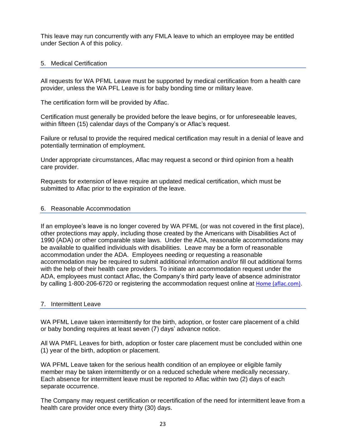This leave may run concurrently with any FMLA leave to which an employee may be entitled under Section A of this policy.

## 5. Medical Certification

All requests for WA PFML Leave must be supported by medical certification from a health care provider, unless the WA PFL Leave is for baby bonding time or military leave.

The certification form will be provided by Aflac.

Certification must generally be provided before the leave begins, or for unforeseeable leaves, within fifteen (15) calendar days of the Company's or Aflac's request.

Failure or refusal to provide the required medical certification may result in a denial of leave and potentially termination of employment.

Under appropriate circumstances, Aflac may request a second or third opinion from a health care provider.

Requests for extension of leave require an updated medical certification, which must be submitted to Aflac prior to the expiration of the leave.

## 6. Reasonable Accommodation

If an employee's leave is no longer covered by WA PFML (or was not covered in the first place), other protections may apply, including those created by the Americans with Disabilities Act of 1990 (ADA) or other comparable state laws. Under the ADA, reasonable accommodations may be available to qualified individuals with disabilities. Leave may be a form of reasonable accommodation under the ADA. Employees needing or requesting a reasonable accommodation may be required to submit additional information and/or fill out additional forms with the help of their health care providers. To initiate an accommodation request under the ADA, employees must contact Aflac, the Company's third party leave of absence administrator by calling 1-800-206-6720 or registering the accommodation request online at [Home \(aflac.com\)](https://mygrouplifedisability.aflac.com/s/).

#### 7. Intermittent Leave

WA PFML Leave taken intermittently for the birth, adoption, or foster care placement of a child or baby bonding requires at least seven (7) days' advance notice.

All WA PMFL Leaves for birth, adoption or foster care placement must be concluded within one (1) year of the birth, adoption or placement.

WA PFML Leave taken for the serious health condition of an employee or eligible family member may be taken intermittently or on a reduced schedule where medically necessary. Each absence for intermittent leave must be reported to Aflac within two (2) days of each separate occurrence.

The Company may request certification or recertification of the need for intermittent leave from a health care provider once every thirty (30) days.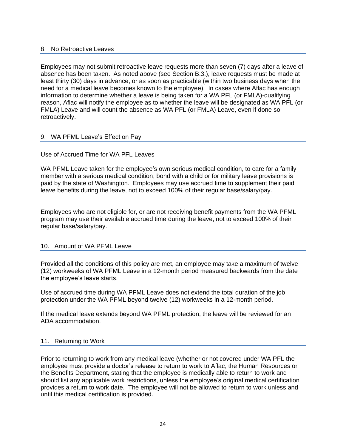## 8. No Retroactive Leaves

Employees may not submit retroactive leave requests more than seven (7) days after a leave of absence has been taken. As noted above (see Section B.3.), leave requests must be made at least thirty (30) days in advance, or as soon as practicable (within two business days when the need for a medical leave becomes known to the employee). In cases where Aflac has enough information to determine whether a leave is being taken for a WA PFL (or FMLA)-qualifying reason, Aflac will notify the employee as to whether the leave will be designated as WA PFL (or FMLA) Leave and will count the absence as WA PFL (or FMLA) Leave, even if done so retroactively.

## 9. WA PFML Leave's Effect on Pay

## Use of Accrued Time for WA PFL Leaves

WA PFML Leave taken for the employee's own serious medical condition, to care for a family member with a serious medical condition, bond with a child or for military leave provisions is paid by the state of Washington. Employees may use accrued time to supplement their paid leave benefits during the leave, not to exceed 100% of their regular base/salary/pay.

Employees who are not eligible for, or are not receiving benefit payments from the WA PFML program may use their available accrued time during the leave, not to exceed 100% of their regular base/salary/pay.

#### 10. Amount of WA PFML Leave

Provided all the conditions of this policy are met, an employee may take a maximum of twelve (12) workweeks of WA PFML Leave in a 12-month period measured backwards from the date the employee's leave starts.

Use of accrued time during WA PFML Leave does not extend the total duration of the job protection under the WA PFML beyond twelve (12) workweeks in a 12-month period.

If the medical leave extends beyond WA PFML protection, the leave will be reviewed for an ADA accommodation.

#### 11. Returning to Work

Prior to returning to work from any medical leave (whether or not covered under WA PFL the employee must provide a doctor's release to return to work to Aflac, the Human Resources or the Benefits Department, stating that the employee is medically able to return to work and should list any applicable work restrictions, unless the employee's original medical certification provides a return to work date. The employee will not be allowed to return to work unless and until this medical certification is provided.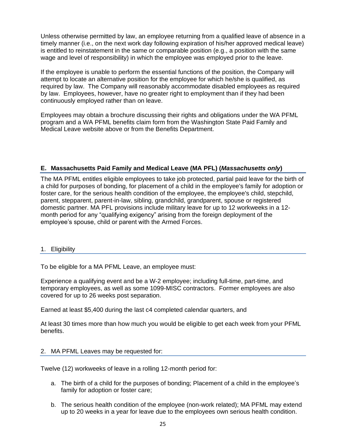Unless otherwise permitted by law, an employee returning from a qualified leave of absence in a timely manner (i.e., on the next work day following expiration of his/her approved medical leave) is entitled to reinstatement in the same or comparable position (e.g., a position with the same wage and level of responsibility) in which the employee was employed prior to the leave.

If the employee is unable to perform the essential functions of the position, the Company will attempt to locate an alternative position for the employee for which he/she is qualified, as required by law. The Company will reasonably accommodate disabled employees as required by law. Employees, however, have no greater right to employment than if they had been continuously employed rather than on leave.

Employees may obtain a brochure discussing their rights and obligations under the WA PFML program and a WA PFML benefits claim form from the Washington State Paid Family and Medical Leave website above or from the Benefits Department.

# **E. Massachusetts Paid Family and Medical Leave (MA PFL) (***Massachusetts only***)**

The MA PFML entitles eligible employees to take job protected, partial paid leave for the birth of a child for purposes of bonding, for placement of a child in the employee's family for adoption or foster care, for the serious health condition of the employee, the employee's child, stepchild, parent, stepparent, parent-in-law, sibling, grandchild, grandparent, spouse or registered domestic partner. MA PFL provisions include military leave for up to 12 workweeks in a 12 month period for any "qualifying exigency" arising from the foreign deployment of the employee's spouse, child or parent with the Armed Forces.

## 1. Eligibility

To be eligible for a MA PFML Leave, an employee must:

Experience a qualifying event and be a W-2 employee; including full-time, part-time, and temporary employees, as well as some 1099-MISC contractors. Former employees are also covered for up to 26 weeks post separation.

Earned at least \$5,400 during the last c4 completed calendar quarters, and

At least 30 times more than how much you would be eligible to get each week from your PFML benefits.

# 2. MA PFML Leaves may be requested for:

Twelve (12) workweeks of leave in a rolling 12-month period for:

- a. The birth of a child for the purposes of bonding; Placement of a child in the employee's family for adoption or foster care;
- b. The serious health condition of the employee (non-work related); MA PFML may extend up to 20 weeks in a year for leave due to the employees own serious health condition.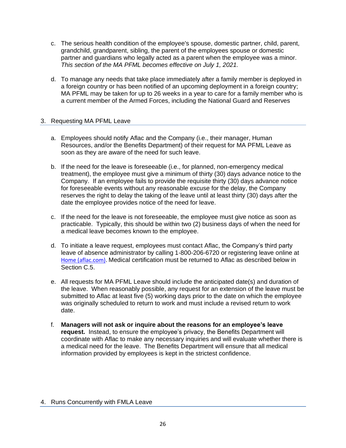- c. The serious health condition of the employee's spouse, domestic partner, child, parent, grandchild, grandparent, sibling, the parent of the employees spouse or domestic partner and guardians who legally acted as a parent when the employee was a minor. *This section of the MA PFML becomes effective on July 1, 2021.*
- d. To manage any needs that take place immediately after a family member is deployed in a foreign country or has been notified of an upcoming deployment in a foreign country; MA PFML may be taken for up to 26 weeks in a year to care for a family member who is a current member of the Armed Forces, including the National Guard and Reserves

## 3. Requesting MA PFML Leave

- a. Employees should notify Aflac and the Company (i.e., their manager, Human Resources, and/or the Benefits Department) of their request for MA PFML Leave as soon as they are aware of the need for such leave.
- b. If the need for the leave is foreseeable (i.e., for planned, non-emergency medical treatment), the employee must give a minimum of thirty (30) days advance notice to the Company. If an employee fails to provide the requisite thirty (30) days advance notice for foreseeable events without any reasonable excuse for the delay, the Company reserves the right to delay the taking of the leave until at least thirty (30) days after the date the employee provides notice of the need for leave.
- c. If the need for the leave is not foreseeable, the employee must give notice as soon as practicable. Typically, this should be within two (2) business days of when the need for a medical leave becomes known to the employee.
- d. To initiate a leave request, employees must contact Aflac, the Company's third party leave of absence administrator by calling 1-800-206-6720 or registering leave online at [Home \(aflac.com\).](https://mygrouplifedisability.aflac.com/s/) Medical certification must be returned to Aflac as described below in Section C.5.
- e. All requests for MA PFML Leave should include the anticipated date(s) and duration of the leave. When reasonably possible, any request for an extension of the leave must be submitted to Aflac at least five (5) working days prior to the date on which the employee was originally scheduled to return to work and must include a revised return to work date.
- f. **Managers will not ask or inquire about the reasons for an employee's leave request.** Instead, to ensure the employee's privacy, the Benefits Department will coordinate with Aflac to make any necessary inquiries and will evaluate whether there is a medical need for the leave. The Benefits Department will ensure that all medical information provided by employees is kept in the strictest confidence.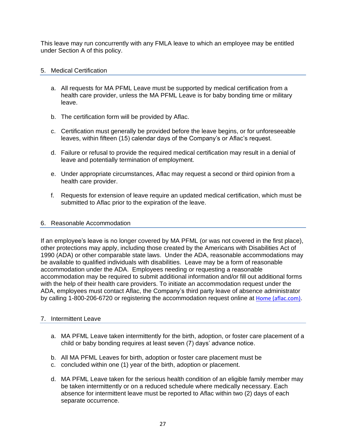This leave may run concurrently with any FMLA leave to which an employee may be entitled under Section A of this policy.

## 5. Medical Certification

- a. All requests for MA PFML Leave must be supported by medical certification from a health care provider, unless the MA PFML Leave is for baby bonding time or military leave.
- b. The certification form will be provided by Aflac.
- c. Certification must generally be provided before the leave begins, or for unforeseeable leaves, within fifteen (15) calendar days of the Company's or Aflac's request.
- d. Failure or refusal to provide the required medical certification may result in a denial of leave and potentially termination of employment.
- e. Under appropriate circumstances, Aflac may request a second or third opinion from a health care provider.
- f. Requests for extension of leave require an updated medical certification, which must be submitted to Aflac prior to the expiration of the leave.

#### 6. Reasonable Accommodation

If an employee's leave is no longer covered by MA PFML (or was not covered in the first place), other protections may apply, including those created by the Americans with Disabilities Act of 1990 (ADA) or other comparable state laws. Under the ADA, reasonable accommodations may be available to qualified individuals with disabilities. Leave may be a form of reasonable accommodation under the ADA. Employees needing or requesting a reasonable accommodation may be required to submit additional information and/or fill out additional forms with the help of their health care providers. To initiate an accommodation request under the ADA, employees must contact Aflac, the Company's third party leave of absence administrator by calling 1-800-206-6720 or registering the accommodation request online at [Home \(aflac.com\)](https://mygrouplifedisability.aflac.com/s/).

## 7. Intermittent Leave

- a. MA PFML Leave taken intermittently for the birth, adoption, or foster care placement of a child or baby bonding requires at least seven (7) days' advance notice.
- b. All MA PFML Leaves for birth, adoption or foster care placement must be
- c. concluded within one (1) year of the birth, adoption or placement.
- d. MA PFML Leave taken for the serious health condition of an eligible family member may be taken intermittently or on a reduced schedule where medically necessary. Each absence for intermittent leave must be reported to Aflac within two (2) days of each separate occurrence.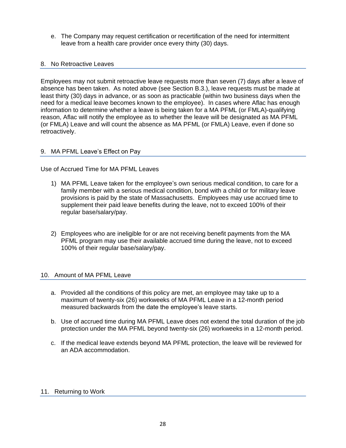e. The Company may request certification or recertification of the need for intermittent leave from a health care provider once every thirty (30) days.

## 8. No Retroactive Leaves

Employees may not submit retroactive leave requests more than seven (7) days after a leave of absence has been taken. As noted above (see Section B.3.), leave requests must be made at least thirty (30) days in advance, or as soon as practicable (within two business days when the need for a medical leave becomes known to the employee). In cases where Aflac has enough information to determine whether a leave is being taken for a MA PFML (or FMLA)-qualifying reason, Aflac will notify the employee as to whether the leave will be designated as MA PFML (or FMLA) Leave and will count the absence as MA PFML (or FMLA) Leave, even if done so retroactively.

## 9. MA PFML Leave's Effect on Pay

Use of Accrued Time for MA PFML Leaves

- 1) MA PFML Leave taken for the employee's own serious medical condition, to care for a family member with a serious medical condition, bond with a child or for military leave provisions is paid by the state of Massachusetts. Employees may use accrued time to supplement their paid leave benefits during the leave, not to exceed 100% of their regular base/salary/pay.
- 2) Employees who are ineligible for or are not receiving benefit payments from the MA PFML program may use their available accrued time during the leave, not to exceed 100% of their regular base/salary/pay.

## 10. Amount of MA PFML Leave

- a. Provided all the conditions of this policy are met, an employee may take up to a maximum of twenty-six (26) workweeks of MA PFML Leave in a 12-month period measured backwards from the date the employee's leave starts.
- b. Use of accrued time during MA PFML Leave does not extend the total duration of the job protection under the MA PFML beyond twenty-six (26) workweeks in a 12-month period.
- c. If the medical leave extends beyond MA PFML protection, the leave will be reviewed for an ADA accommodation.

## 11. Returning to Work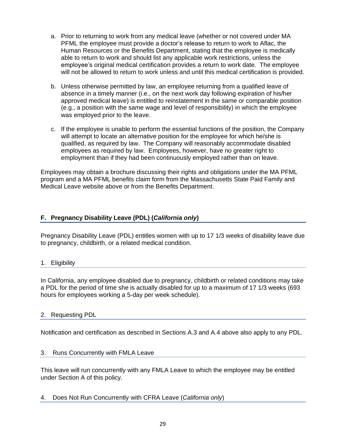- a. Prior to returning to work from any medical leave (whether or not covered under MA PFML the employee must provide a doctor's release to return to work to Aflac, the Human Resources or the Benefits Department, stating that the employee is medically able to return to work and should list any applicable work restrictions, unless the employee's original medical certification provides a return to work date. The employee will not be allowed to return to work unless and until this medical certification is provided.
- b. Unless otherwise permitted by law, an employee returning from a qualified leave of absence in a timely manner (i.e., on the next work day following expiration of his/her approved medical leave) is entitled to reinstatement in the same or comparable position (e.g., a position with the same wage and level of responsibility) in which the employee was employed prior to the leave.
- c. If the employee is unable to perform the essential functions of the position, the Company will attempt to locate an alternative position for the employee for which he/she is qualified, as required by law. The Company will reasonably accommodate disabled employees as required by law. Employees, however, have no greater right to employment than if they had been continuously employed rather than on leave.

Employees may obtain a brochure discussing their rights and obligations under the MA PFML program and a MA PFML benefits claim form from the Massachusetts State Paid Family and Medical Leave website above or from the Benefits Department.

# **F. Pregnancy Disability Leave (PDL) (***California only***)**

Pregnancy Disability Leave (PDL) entitles women with up to 17 1/3 weeks of disability leave due to pregnancy, childbirth, or a related medical condition.

## 1. Eligibility

In California, any employee disabled due to pregnancy, childbirth or related conditions may take a PDL for the period of time she is actually disabled for up to a maximum of 17 1/3 weeks (693 hours for employees working a 5-day per week schedule).

## 2. Requesting PDL

Notification and certification as described in Sections A.3 and A.4 above also apply to any PDL.

#### 3. Runs Concurrently with FMLA Leave

This leave will run concurrently with any FMLA Leave to which the employee may be entitled under Section A of this policy.

4. Does Not Run Concurrently with CFRA Leave (*California only*)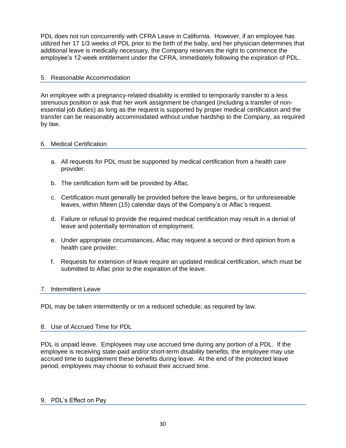PDL does not run concurrently with CFRA Leave in California. However, if an employee has utilized her 17 1/3 weeks of PDL prior to the birth of the baby, and her physician determines that additional leave is medically necessary, the Company reserves the right to commence the employee's 12-week entitlement under the CFRA, immediately following the expiration of PDL.

# 5. Reasonable Accommodation

An employee with a pregnancy-related disability is entitled to temporarily transfer to a less strenuous position or ask that her work assignment be changed (including a transfer of nonessential job duties) as long as the request is supported by proper medical certification and the transfer can be reasonably accommodated without undue hardship to the Company, as required by law.

## 6. Medical Certification

- a. All requests for PDL must be supported by medical certification from a health care provider.
- b. The certification form will be provided by Aflac.
- c. Certification must generally be provided before the leave begins, or for unforeseeable leaves, within fifteen (15) calendar days of the Company's or Aflac's request.
- d. Failure or refusal to provide the required medical certification may result in a denial of leave and potentially termination of employment.
- e. Under appropriate circumstances, Aflac may request a second or third opinion from a health care provider.
- f. Requests for extension of leave require an updated medical certification, which must be submitted to Aflac prior to the expiration of the leave.

## 7. Intermittent Leave

PDL may be taken intermittently or on a reduced schedule, as required by law.

## 8. Use of Accrued Time for PDL

PDL is unpaid leave. Employees may use accrued time during any portion of a PDL. If the employee is receiving state-paid and/or short-term disability benefits, the employee may use accrued time to supplement these benefits during leave. At the end of the protected leave period, employees may choose to exhaust their accrued time.

## 9. PDL's Effect on Pay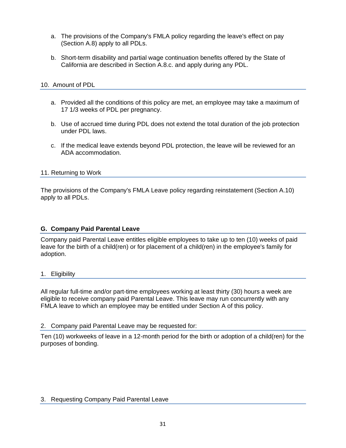- a. The provisions of the Company's FMLA policy regarding the leave's effect on pay (Section A.8) apply to all PDLs.
- b. Short-term disability and partial wage continuation benefits offered by the State of California are described in Section A.8.c. and apply during any PDL.

## 10. Amount of PDL

- a. Provided all the conditions of this policy are met, an employee may take a maximum of 17 1/3 weeks of PDL per pregnancy.
- b. Use of accrued time during PDL does not extend the total duration of the job protection under PDL laws.
- c. If the medical leave extends beyond PDL protection, the leave will be reviewed for an ADA accommodation.

## 11. Returning to Work

The provisions of the Company's FMLA Leave policy regarding reinstatement (Section A.10) apply to all PDLs.

## **G. Company Paid Parental Leave**

Company paid Parental Leave entitles eligible employees to take up to ten (10) weeks of paid leave for the birth of a child(ren) or for placement of a child(ren) in the employee's family for adoption.

#### 1. Eligibility

All regular full-time and/or part-time employees working at least thirty (30) hours a week are eligible to receive company paid Parental Leave. This leave may run concurrently with any FMLA leave to which an employee may be entitled under Section A of this policy.

#### 2. Company paid Parental Leave may be requested for:

Ten (10) workweeks of leave in a 12-month period for the birth or adoption of a child(ren) for the purposes of bonding.

## 3. Requesting Company Paid Parental Leave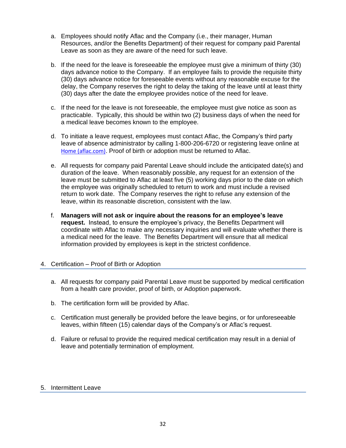- a. Employees should notify Aflac and the Company (i.e., their manager, Human Resources, and/or the Benefits Department) of their request for company paid Parental Leave as soon as they are aware of the need for such leave.
- b. If the need for the leave is foreseeable the employee must give a minimum of thirty (30) days advance notice to the Company. If an employee fails to provide the requisite thirty (30) days advance notice for foreseeable events without any reasonable excuse for the delay, the Company reserves the right to delay the taking of the leave until at least thirty (30) days after the date the employee provides notice of the need for leave.
- c. If the need for the leave is not foreseeable, the employee must give notice as soon as practicable. Typically, this should be within two (2) business days of when the need for a medical leave becomes known to the employee.
- d. To initiate a leave request, employees must contact Aflac, the Company's third party leave of absence administrator by calling 1-800-206-6720 or registering leave online at [Home \(aflac.com\)](https://mygrouplifedisability.aflac.com/s/). Proof of birth or adoption must be returned to Aflac.
- e. All requests for company paid Parental Leave should include the anticipated date(s) and duration of the leave. When reasonably possible, any request for an extension of the leave must be submitted to Aflac at least five (5) working days prior to the date on which the employee was originally scheduled to return to work and must include a revised return to work date. The Company reserves the right to refuse any extension of the leave, within its reasonable discretion, consistent with the law.
- f. **Managers will not ask or inquire about the reasons for an employee's leave request.** Instead, to ensure the employee's privacy, the Benefits Department will coordinate with Aflac to make any necessary inquiries and will evaluate whether there is a medical need for the leave. The Benefits Department will ensure that all medical information provided by employees is kept in the strictest confidence.

## 4. Certification – Proof of Birth or Adoption

- a. All requests for company paid Parental Leave must be supported by medical certification from a health care provider, proof of birth, or Adoption paperwork.
- b. The certification form will be provided by Aflac.
- c. Certification must generally be provided before the leave begins, or for unforeseeable leaves, within fifteen (15) calendar days of the Company's or Aflac's request.
- d. Failure or refusal to provide the required medical certification may result in a denial of leave and potentially termination of employment.

## 5. Intermittent Leave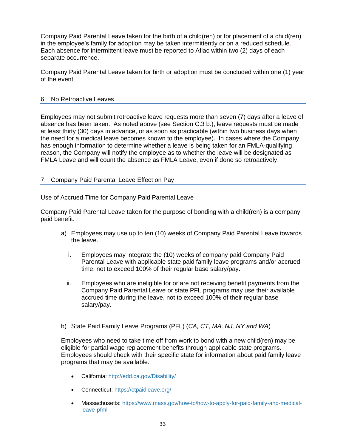Company Paid Parental Leave taken for the birth of a child(ren) or for placement of a child(ren) in the employee's family for adoption may be taken intermittently or on a reduced schedule. Each absence for intermittent leave must be reported to Aflac within two (2) days of each separate occurrence.

Company Paid Parental Leave taken for birth or adoption must be concluded within one (1) year of the event.

## 6. No Retroactive Leaves

Employees may not submit retroactive leave requests more than seven (7) days after a leave of absence has been taken. As noted above (see Section C.3 b.), leave requests must be made at least thirty (30) days in advance, or as soon as practicable (within two business days when the need for a medical leave becomes known to the employee). In cases where the Company has enough information to determine whether a leave is being taken for an FMLA-qualifying reason, the Company will notify the employee as to whether the leave will be designated as FMLA Leave and will count the absence as FMLA Leave, even if done so retroactively.

## 7. Company Paid Parental Leave Effect on Pay

Use of Accrued Time for Company Paid Parental Leave

Company Paid Parental Leave taken for the purpose of bonding with a child(ren) is a company paid benefit.

- a) Employees may use up to ten (10) weeks of Company Paid Parental Leave towards the leave.
	- i. Employees may integrate the (10) weeks of company paid Company Paid Parental Leave with applicable state paid family leave programs and/or accrued time, not to exceed 100% of their regular base salary/pay.
	- ii. Employees who are ineligible for or are not receiving benefit payments from the Company Paid Parental Leave or state PFL programs may use their available accrued time during the leave, not to exceed 100% of their regular base salary/pay.
- b) State Paid Family Leave Programs (PFL) (*CA, CT, MA, NJ, NY and WA*)

Employees who need to take time off from work to bond with a new child(ren) may be eligible for partial wage replacement benefits through applicable state programs. Employees should check with their specific state for information about paid family leave programs that may be available.

- California:<http://edd.ca.gov/Disability/>
- Connecticut:<https://ctpaidleave.org/>
- Massachusetts: [https://www.mass.gov/how-to/how-to-apply-for-paid-family-and-medical](https://www.mass.gov/how-to/how-to-apply-for-paid-family-and-medical-leave-pfml)[leave-pfml](https://www.mass.gov/how-to/how-to-apply-for-paid-family-and-medical-leave-pfml)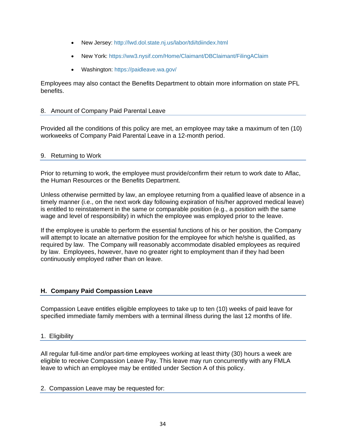- New Jersey:<http://lwd.dol.state.nj.us/labor/tdi/tdiindex.html>
- New York:<https://ww3.nysif.com/Home/Claimant/DBClaimant/FilingAClaim>
- Washington:<https://paidleave.wa.gov/>

Employees may also contact the Benefits Department to obtain more information on state PFL benefits.

#### 8. Amount of Company Paid Parental Leave

Provided all the conditions of this policy are met, an employee may take a maximum of ten (10) workweeks of Company Paid Parental Leave in a 12-month period.

## 9. Returning to Work

Prior to returning to work, the employee must provide/confirm their return to work date to Aflac, the Human Resources or the Benefits Department.

Unless otherwise permitted by law, an employee returning from a qualified leave of absence in a timely manner (i.e., on the next work day following expiration of his/her approved medical leave) is entitled to reinstatement in the same or comparable position (e.g., a position with the same wage and level of responsibility) in which the employee was employed prior to the leave.

If the employee is unable to perform the essential functions of his or her position, the Company will attempt to locate an alternative position for the employee for which he/she is qualified, as required by law. The Company will reasonably accommodate disabled employees as required by law. Employees, however, have no greater right to employment than if they had been continuously employed rather than on leave.

## **H. Company Paid Compassion Leave**

Compassion Leave entitles eligible employees to take up to ten (10) weeks of paid leave for specified immediate family members with a terminal illness during the last 12 months of life.

#### 1. Eligibility

All regular full-time and/or part-time employees working at least thirty (30) hours a week are eligible to receive Compassion Leave Pay. This leave may run concurrently with any FMLA leave to which an employee may be entitled under Section A of this policy.

#### 2. Compassion Leave may be requested for: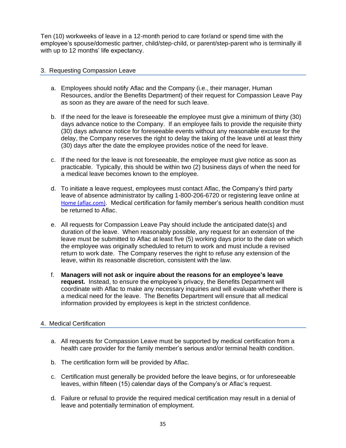Ten (10) workweeks of leave in a 12-month period to care for/and or spend time with the employee's spouse/domestic partner, child/step-child, or parent/step-parent who is terminally ill with up to 12 months' life expectancy.

## 3. Requesting Compassion Leave

- a. Employees should notify Aflac and the Company (i.e., their manager, Human Resources, and/or the Benefits Department) of their request for Compassion Leave Pay as soon as they are aware of the need for such leave.
- b. If the need for the leave is foreseeable the employee must give a minimum of thirty (30) days advance notice to the Company. If an employee fails to provide the requisite thirty (30) days advance notice for foreseeable events without any reasonable excuse for the delay, the Company reserves the right to delay the taking of the leave until at least thirty (30) days after the date the employee provides notice of the need for leave.
- c. If the need for the leave is not foreseeable, the employee must give notice as soon as practicable. Typically, this should be within two (2) business days of when the need for a medical leave becomes known to the employee.
- d. To initiate a leave request, employees must contact Aflac, the Company's third party leave of absence administrator by calling 1-800-206-6720 or registering leave online at [Home \(aflac.com\)](https://mygrouplifedisability.aflac.com/s/). Medical certification for family member's serious health condition must be returned to Aflac.
- e. All requests for Compassion Leave Pay should include the anticipated date(s) and duration of the leave. When reasonably possible, any request for an extension of the leave must be submitted to Aflac at least five (5) working days prior to the date on which the employee was originally scheduled to return to work and must include a revised return to work date. The Company reserves the right to refuse any extension of the leave, within its reasonable discretion, consistent with the law.
- f. **Managers will not ask or inquire about the reasons for an employee's leave request.** Instead, to ensure the employee's privacy, the Benefits Department will coordinate with Aflac to make any necessary inquiries and will evaluate whether there is a medical need for the leave. The Benefits Department will ensure that all medical information provided by employees is kept in the strictest confidence.

## 4. Medical Certification

- a. All requests for Compassion Leave must be supported by medical certification from a health care provider for the family member's serious and/or terminal health condition.
- b. The certification form will be provided by Aflac.
- c. Certification must generally be provided before the leave begins, or for unforeseeable leaves, within fifteen (15) calendar days of the Company's or Aflac's request.
- d. Failure or refusal to provide the required medical certification may result in a denial of leave and potentially termination of employment.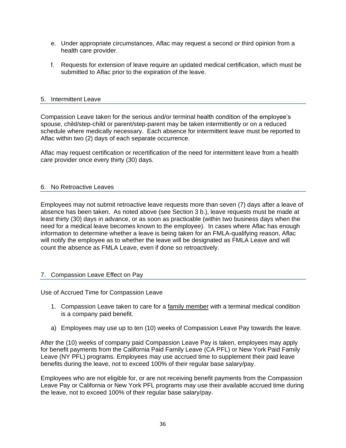- e. Under appropriate circumstances, Aflac may request a second or third opinion from a health care provider.
- f. Requests for extension of leave require an updated medical certification, which must be submitted to Aflac prior to the expiration of the leave.

## 5. Intermittent Leave

Compassion Leave taken for the serious and/or terminal health condition of the employee's spouse, child/step-child or parent/step-parent may be taken intermittently or on a reduced schedule where medically necessary. Each absence for intermittent leave must be reported to Aflac within two (2) days of each separate occurrence.

Aflac may request certification or recertification of the need for intermittent leave from a health care provider once every thirty (30) days.

## 6. No Retroactive Leaves

Employees may not submit retroactive leave requests more than seven (7) days after a leave of absence has been taken. As noted above (see Section 3 b.), leave requests must be made at least thirty (30) days in advance, or as soon as practicable (within two business days when the need for a medical leave becomes known to the employee). In cases where Aflac has enough information to determine whether a leave is being taken for an FMLA-qualifying reason, Aflac will notify the employee as to whether the leave will be designated as FMLA Leave and will count the absence as FMLA Leave, even if done so retroactively.

## 7. Compassion Leave Effect on Pay

Use of Accrued Time for Compassion Leave

- 1. Compassion Leave taken to care for a family member with a terminal medical condition is a company paid benefit.
- a) Employees may use up to ten (10) weeks of Compassion Leave Pay towards the leave.

After the (10) weeks of company paid Compassion Leave Pay is taken, employees may apply for benefit payments from the California Paid Family Leave (CA PFL) or New York Paid Family Leave (NY PFL) programs. Employees may use accrued time to supplement their paid leave benefits during the leave, not to exceed 100% of their regular base salary/pay.

Employees who are not eligible for, or are not receiving benefit payments from the Compassion Leave Pay or California or New York PFL programs may use their available accrued time during the leave, not to exceed 100% of their regular base salary/pay.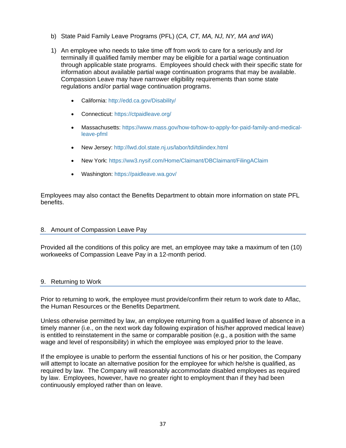- b) State Paid Family Leave Programs (PFL) (*CA, CT, MA, NJ, NY, MA and WA*)
- 1) An employee who needs to take time off from work to care for a seriously and /or terminally ill qualified family member may be eligible for a partial wage continuation through applicable state programs. Employees should check with their specific state for information about available partial wage continuation programs that may be available. Compassion Leave may have narrower eligibility requirements than some state regulations and/or partial wage continuation programs.
	- California:<http://edd.ca.gov/Disability/>
	- Connecticut:<https://ctpaidleave.org/>
	- Massachusetts: [https://www.mass.gov/how-to/how-to-apply-for-paid-family-and-medical](https://www.mass.gov/how-to/how-to-apply-for-paid-family-and-medical-leave-pfml)[leave-pfml](https://www.mass.gov/how-to/how-to-apply-for-paid-family-and-medical-leave-pfml)
	- New Jersey:<http://lwd.dol.state.nj.us/labor/tdi/tdiindex.html>
	- New York:<https://ww3.nysif.com/Home/Claimant/DBClaimant/FilingAClaim>
	- Washington:<https://paidleave.wa.gov/>

Employees may also contact the Benefits Department to obtain more information on state PFL benefits.

#### 8. Amount of Compassion Leave Pay

Provided all the conditions of this policy are met, an employee may take a maximum of ten (10) workweeks of Compassion Leave Pay in a 12-month period.

#### 9. Returning to Work

Prior to returning to work, the employee must provide/confirm their return to work date to Aflac, the Human Resources or the Benefits Department.

Unless otherwise permitted by law, an employee returning from a qualified leave of absence in a timely manner (i.e., on the next work day following expiration of his/her approved medical leave) is entitled to reinstatement in the same or comparable position (e.g., a position with the same wage and level of responsibility) in which the employee was employed prior to the leave.

If the employee is unable to perform the essential functions of his or her position, the Company will attempt to locate an alternative position for the employee for which he/she is qualified, as required by law. The Company will reasonably accommodate disabled employees as required by law. Employees, however, have no greater right to employment than if they had been continuously employed rather than on leave.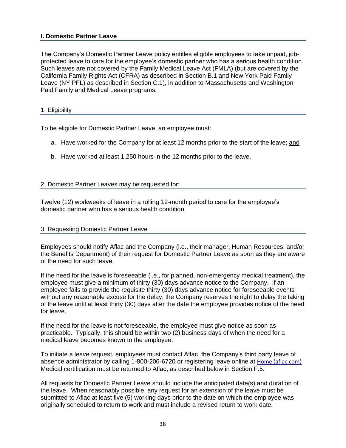## <span id="page-38-0"></span>**I. Domestic Partner Leave**

The Company's Domestic Partner Leave policy entitles eligible employees to take unpaid, jobprotected leave to care for the employee's domestic partner who has a serious health condition. Such leaves are not covered by the Family Medical Leave Act (FMLA) (but are covered by the California Family Rights Act (CFRA) as described in Section B.1 and New York Paid Family Leave (NY PFL) as described in Section C.1), in addition to Massachusetts and Washington Paid Family and Medical Leave programs.

#### <span id="page-38-1"></span>1. Eligibility

To be eligible for Domestic Partner Leave, an employee must:

- a. Have worked for the Company for at least 12 months prior to the start of the leave; and
- b. Have worked at least 1,250 hours in the 12 months prior to the leave.

## <span id="page-38-2"></span>2. Domestic Partner Leaves may be requested for:

Twelve (12) workweeks of leave in a rolling 12-month period to care for the employee's domestic partner who has a serious health condition.

#### 3. Requesting Domestic Partner Leave

Employees should notify Aflac and the Company (i.e., their manager, Human Resources, and/or the Benefits Department) of their request for Domestic Partner Leave as soon as they are aware of the need for such leave.

If the need for the leave is foreseeable (i.e., for planned, non-emergency medical treatment), the employee must give a minimum of thirty (30) days advance notice to the Company. If an employee fails to provide the requisite thirty (30) days advance notice for foreseeable events without any reasonable excuse for the delay, the Company reserves the right to delay the taking of the leave until at least thirty (30) days after the date the employee provides notice of the need for leave.

If the need for the leave is not foreseeable, the employee must give notice as soon as practicable. Typically, this should be within two (2) business days of when the need for a medical leave becomes known to the employee.

To initiate a leave request, employees must contact Aflac, the Company's third party leave of absence administrator by calling 1-800-206-6720 or registering leave online at [Home \(aflac.com\)](https://mygrouplifedisability.aflac.com/s/) Medical certification must be returned to Aflac, as described below in Section F.5.

All requests for Domestic Partner Leave should include the anticipated date(s) and duration of the leave. When reasonably possible, any request for an extension of the leave must be submitted to Aflac at least five (5) working days prior to the date on which the employee was originally scheduled to return to work and must include a revised return to work date.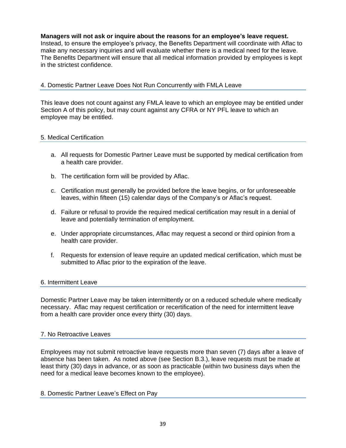**Managers will not ask or inquire about the reasons for an employee's leave request.**  Instead, to ensure the employee's privacy, the Benefits Department will coordinate with Aflac to make any necessary inquiries and will evaluate whether there is a medical need for the leave. The Benefits Department will ensure that all medical information provided by employees is kept in the strictest confidence.

# <span id="page-39-0"></span>4. Domestic Partner Leave Does Not Run Concurrently with FMLA Leave

This leave does not count against any FMLA leave to which an employee may be entitled under Section A of this policy, but may count against any CFRA or NY PFL leave to which an employee may be entitled.

## <span id="page-39-1"></span>5. Medical Certification

- a. All requests for Domestic Partner Leave must be supported by medical certification from a health care provider.
- b. The certification form will be provided by Aflac.
- c. Certification must generally be provided before the leave begins, or for unforeseeable leaves, within fifteen (15) calendar days of the Company's or Aflac's request.
- d. Failure or refusal to provide the required medical certification may result in a denial of leave and potentially termination of employment.
- e. Under appropriate circumstances, Aflac may request a second or third opinion from a health care provider.
- f. Requests for extension of leave require an updated medical certification, which must be submitted to Aflac prior to the expiration of the leave.

#### 6. Intermittent Leave

Domestic Partner Leave may be taken intermittently or on a reduced schedule where medically necessary. Aflac may request certification or recertification of the need for intermittent leave from a health care provider once every thirty (30) days.

#### 7. No Retroactive Leaves

Employees may not submit retroactive leave requests more than seven (7) days after a leave of absence has been taken. As noted above (see Section B.3.), leave requests must be made at least thirty (30) days in advance, or as soon as practicable (within two business days when the need for a medical leave becomes known to the employee).

#### 8. Domestic Partner Leave's Effect on Pay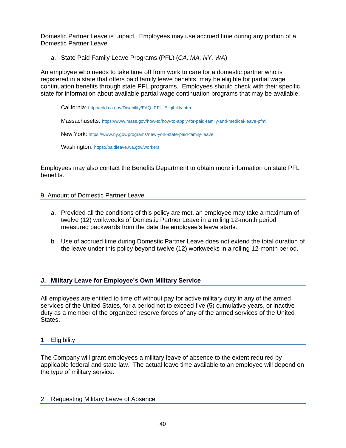Domestic Partner Leave is unpaid. Employees may use accrued time during any portion of a Domestic Partner Leave.

a. State Paid Family Leave Programs (PFL) (*CA, MA, NY, WA*)

An employee who needs to take time off from work to care for a domestic partner who is registered in a state that offers paid family leave benefits, may be eligible for partial wage continuation benefits through state PFL programs. Employees should check with their specific state for information about available partial wage continuation programs that may be available.

California: [http://edd.ca.gov/Disability/FAQ\\_PFL\\_Eligibility.htm](http://edd.ca.gov/Disability/FAQ_PFL_Eligibility.htm)

Massachusetts: <https://www.mass.gov/how-to/how-to-apply-for-paid-family-and-medical-leave-pfml>

New York: <https://www.ny.gov/programs/new-york-state-paid-family-leave>

Washington: <https://paidleave.wa.gov/workers>

Employees may also contact the Benefits Department to obtain more information on state PFL benefits.

## 9. Amount of Domestic Partner Leave

- a. Provided all the conditions of this policy are met, an employee may take a maximum of twelve (12) workweeks of Domestic Partner Leave in a rolling 12-month period measured backwards from the date the employee's leave starts.
- b. Use of accrued time during Domestic Partner Leave does not extend the total duration of the leave under this policy beyond twelve (12) workweeks in a rolling 12-month period.

# **J. Military Leave for Employee's Own Military Service**

All employees are entitled to time off without pay for active military duty in any of the armed services of the United States, for a period not to exceed five (5) cumulative years, or inactive duty as a member of the organized reserve forces of any of the armed services of the United States.

## <span id="page-40-0"></span>1. Eligibility

The Company will grant employees a military leave of absence to the extent required by applicable federal and state law. The actual leave time available to an employee will depend on the type of military service.

## <span id="page-40-1"></span>2. Requesting Military Leave of Absence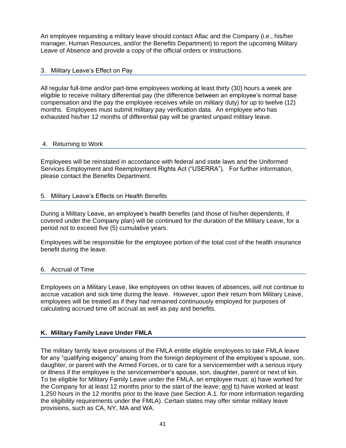An employee requesting a military leave should contact Aflac and the Company (i.e., his/her manager, Human Resources, and/or the Benefits Department) to report the upcoming Military Leave of Absence and provide a copy of the official orders or instructions.

## <span id="page-41-0"></span>3. Military Leave's Effect on Pay

All regular full-time and/or part-time employees working at least thirty (30) hours a week are eligible to receive military differential pay (the difference between an employee's normal base compensation and the pay the employee receives while on military duty) for up to twelve (12) months. Employees must submit military pay verification data. An employee who has exhausted his/her 12 months of differential pay will be granted unpaid military leave.

## 4. Returning to Work

Employees will be reinstated in accordance with federal and state laws and the Uniformed Services Employment and Reemployment Rights Act ("USERRA"). For further information, please contact the Benefits Department.

## <span id="page-41-1"></span>5. Military Leave's Effects on Health Benefits

During a Military Leave, an employee's health benefits (and those of his/her dependents, if covered under the Company plan) will be continued for the duration of the Military Leave, for a period not to exceed five (5) cumulative years.

Employees will be responsible for the employee portion of the total cost of the health insurance benefit during the leave.

## <span id="page-41-2"></span>6. Accrual of Time

Employees on a Military Leave, like employees on other leaves of absences, will not continue to accrue vacation and sick time during the leave. However, upon their return from Military Leave, employees will be treated as if they had remained continuously employed for purposes of calculating accrued time off accrual as well as pay and benefits.

## **K. Military Family Leave Under FMLA**

The military family leave provisions of the FMLA entitle eligible employees to take FMLA leave for any "qualifying exigency" arising from the foreign deployment of the employee's spouse, son, daughter, or parent with the Armed Forces, or to care for a servicemember with a serious injury or illness if the employee is the servicemember's spouse, son, daughter, parent or next of kin. To be eligible for Military Family Leave under the FMLA, an employee must: a) have worked for the Company for at least 12 months prior to the start of the leave; and b) have worked at least 1,250 hours in the 12 months prior to the leave (see Section A.1. for more information regarding the eligibility requirements under the FMLA). Certain states may offer similar military leave provisions, such as CA, NY, MA and WA.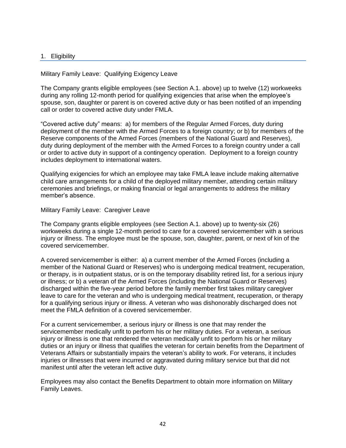#### 1. Eligibility

Military Family Leave: Qualifying Exigency Leave

The Company grants eligible employees (see Section A.1. above) up to twelve (12) workweeks during any rolling 12-month period for qualifying exigencies that arise when the employee's spouse, son, daughter or parent is on covered active duty or has been notified of an impending call or order to covered active duty under FMLA.

"Covered active duty" means: a) for members of the Regular Armed Forces, duty during deployment of the member with the Armed Forces to a foreign country; or b) for members of the Reserve components of the Armed Forces (members of the National Guard and Reserves), duty during deployment of the member with the Armed Forces to a foreign country under a call or order to active duty in support of a contingency operation. Deployment to a foreign country includes deployment to international waters.

Qualifying exigencies for which an employee may take FMLA leave include making alternative child care arrangements for a child of the deployed military member, attending certain military ceremonies and briefings, or making financial or legal arrangements to address the military member's absence.

Military Family Leave: Caregiver Leave

The Company grants eligible employees (see Section A.1. above) up to twenty-six (26) workweeks during a single 12-month period to care for a covered servicemember with a serious injury or illness. The employee must be the spouse, son, daughter, parent, or next of kin of the covered servicemember.

A covered servicemember is either: a) a current member of the Armed Forces (including a member of the National Guard or Reserves) who is undergoing medical treatment, recuperation, or therapy, is in outpatient status, or is on the temporary disability retired list, for a serious injury or illness; or b) a veteran of the Armed Forces (including the National Guard or Reserves) discharged within the five-year period before the family member first takes military caregiver leave to care for the veteran and who is undergoing medical treatment, recuperation, or therapy for a qualifying serious injury or illness. A veteran who was dishonorably discharged does not meet the FMLA definition of a covered servicemember.

For a current servicemember, a serious injury or illness is one that may render the servicemember medically unfit to perform his or her military duties. For a veteran, a serious injury or illness is one that rendered the veteran medically unfit to perform his or her military duties or an injury or illness that qualifies the veteran for certain benefits from the Department of Veterans Affairs or substantially impairs the veteran's ability to work. For veterans, it includes injuries or illnesses that were incurred or aggravated during military service but that did not manifest until after the veteran left active duty.

Employees may also contact the Benefits Department to obtain more information on Military Family Leaves.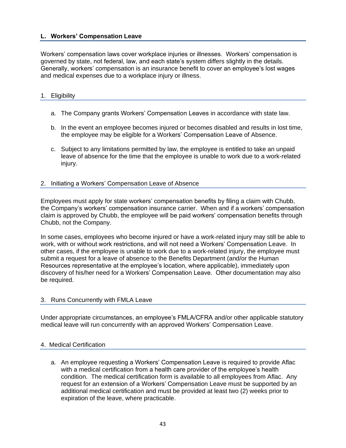## <span id="page-43-0"></span>**L. Workers' Compensation Leave**

Workers' compensation laws cover workplace injuries or illnesses. Workers' compensation is governed by state, not federal, law, and each state's system differs slightly in the details. Generally, workers' compensation is an insurance benefit to cover an employee's lost wages and medical expenses due to a workplace injury or illness.

#### <span id="page-43-1"></span>1. Eligibility

- a. The Company grants Workers' Compensation Leaves in accordance with state law.
- b. In the event an employee becomes injured or becomes disabled and results in lost time, the employee may be eligible for a Workers' Compensation Leave of Absence.
- c. Subject to any limitations permitted by law, the employee is entitled to take an unpaid leave of absence for the time that the employee is unable to work due to a work-related injury.

## <span id="page-43-2"></span>2. Initiating a Workers' Compensation Leave of Absence

Employees must apply for state workers' compensation benefits by filing a claim with Chubb, the Company's workers' compensation insurance carrier. When and if a workers' compensation claim is approved by Chubb, the employee will be paid workers' compensation benefits through Chubb, not the Company.

In some cases, employees who become injured or have a work-related injury may still be able to work, with or without work restrictions, and will not need a Workers' Compensation Leave. In other cases, if the employee is unable to work due to a work-related injury, the employee must submit a request for a leave of absence to the Benefits Department (and/or the Human Resources representative at the employee's location, where applicable), immediately upon discovery of his/her need for a Workers' Compensation Leave. Other documentation may also be required.

#### <span id="page-43-3"></span>3. Runs Concurrently with FMLA Leave

Under appropriate circumstances, an employee's FMLA/CFRA and/or other applicable statutory medical leave will run concurrently with an approved Workers' Compensation Leave.

#### <span id="page-43-4"></span>4. Medical Certification

a. An employee requesting a Workers' Compensation Leave is required to provide Aflac with a medical certification from a health care provider of the employee's health condition. The medical certification form is available to all employees from Aflac. Any request for an extension of a Workers' Compensation Leave must be supported by an additional medical certification and must be provided at least two (2) weeks prior to expiration of the leave, where practicable.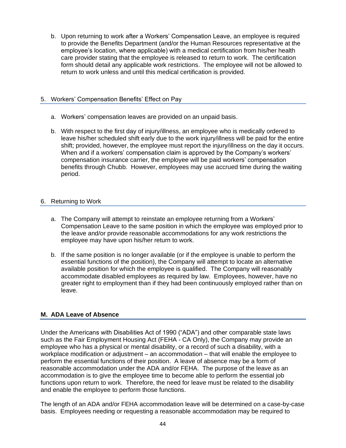b. Upon returning to work after a Workers' Compensation Leave, an employee is required to provide the Benefits Department (and/or the Human Resources representative at the employee's location, where applicable) with a medical certification from his/her health care provider stating that the employee is released to return to work. The certification form should detail any applicable work restrictions. The employee will not be allowed to return to work unless and until this medical certification is provided.

## <span id="page-44-0"></span>5. Workers' Compensation Benefits' Effect on Pay

- a. Workers' compensation leaves are provided on an unpaid basis.
- b. With respect to the first day of injury/illness, an employee who is medically ordered to leave his/her scheduled shift early due to the work injury/illness will be paid for the entire shift; provided, however, the employee must report the injury/illness on the day it occurs. When and if a workers' compensation claim is approved by the Company's workers' compensation insurance carrier, the employee will be paid workers' compensation benefits through Chubb. However, employees may use accrued time during the waiting period.

# <span id="page-44-1"></span>6. Returning to Work

- a. The Company will attempt to reinstate an employee returning from a Workers' Compensation Leave to the same position in which the employee was employed prior to the leave and/or provide reasonable accommodations for any work restrictions the employee may have upon his/her return to work.
- b. If the same position is no longer available (or if the employee is unable to perform the essential functions of the position), the Company will attempt to locate an alternative available position for which the employee is qualified. The Company will reasonably accommodate disabled employees as required by law. Employees, however, have no greater right to employment than if they had been continuously employed rather than on leave.

# **M. ADA Leave of Absence**

Under the Americans with Disabilities Act of 1990 ("ADA") and other comparable state laws such as the Fair Employment Housing Act (FEHA - CA Only), the Company may provide an employee who has a physical or mental disability, or a record of such a disability, with a workplace modification or adjustment – an accommodation – that will enable the employee to perform the essential functions of their position. A leave of absence may be a form of reasonable accommodation under the ADA and/or FEHA. The purpose of the leave as an accommodation is to give the employee time to become able to perform the essential job functions upon return to work. Therefore, the need for leave must be related to the disability and enable the employee to perform those functions.

The length of an ADA and/or FEHA accommodation leave will be determined on a case-by-case basis. Employees needing or requesting a reasonable accommodation may be required to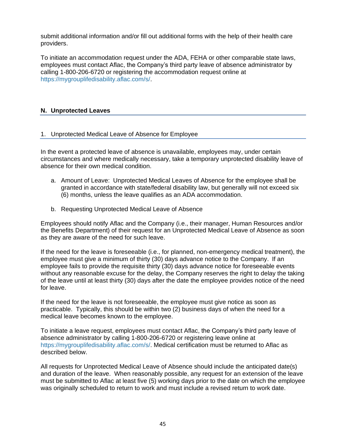submit additional information and/or fill out additional forms with the help of their health care providers.

To initiate an accommodation request under the ADA, FEHA or other comparable state laws, employees must contact Aflac, the Company's third party leave of absence administrator by calling 1-800-206-6720 or registering the accommodation request online at [https://mygrouplifedisability.aflac.com/s/.](http://www.zurichna.com/myzurichbenefits)

## <span id="page-45-0"></span>**N. Unprotected Leaves**

## <span id="page-45-1"></span>1. Unprotected Medical Leave of Absence for Employee

In the event a protected leave of absence is unavailable, employees may, under certain circumstances and where medically necessary, take a temporary unprotected disability leave of absence for their own medical condition.

- a. Amount of Leave: Unprotected Medical Leaves of Absence for the employee shall be granted in accordance with state/federal disability law, but generally will not exceed six (6) months, unless the leave qualifies as an ADA accommodation.
- b. Requesting Unprotected Medical Leave of Absence

Employees should notify Aflac and the Company (i.e., their manager, Human Resources and/or the Benefits Department) of their request for an Unprotected Medical Leave of Absence as soon as they are aware of the need for such leave.

If the need for the leave is foreseeable (i.e., for planned, non-emergency medical treatment), the employee must give a minimum of thirty (30) days advance notice to the Company. If an employee fails to provide the requisite thirty (30) days advance notice for foreseeable events without any reasonable excuse for the delay, the Company reserves the right to delay the taking of the leave until at least thirty (30) days after the date the employee provides notice of the need for leave.

If the need for the leave is not foreseeable, the employee must give notice as soon as practicable. Typically, this should be within two (2) business days of when the need for a medical leave becomes known to the employee.

To initiate a leave request, employees must contact Aflac, the Company's third party leave of absence administrator by calling 1-800-206-6720 or registering leave online at [https://mygrouplifedisability.aflac.com/s/.](http://www.zurichna.com/myzurichbenefits) Medical certification must be returned to Aflac as described below.

All requests for Unprotected Medical Leave of Absence should include the anticipated date(s) and duration of the leave. When reasonably possible, any request for an extension of the leave must be submitted to Aflac at least five (5) working days prior to the date on which the employee was originally scheduled to return to work and must include a revised return to work date.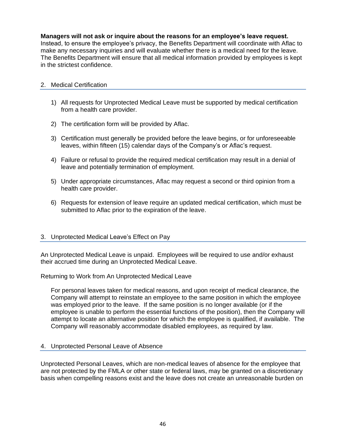## **Managers will not ask or inquire about the reasons for an employee's leave request.**

Instead, to ensure the employee's privacy, the Benefits Department will coordinate with Aflac to make any necessary inquiries and will evaluate whether there is a medical need for the leave. The Benefits Department will ensure that all medical information provided by employees is kept in the strictest confidence.

## 2. Medical Certification

- 1) All requests for Unprotected Medical Leave must be supported by medical certification from a health care provider.
- 2) The certification form will be provided by Aflac.
- 3) Certification must generally be provided before the leave begins, or for unforeseeable leaves, within fifteen (15) calendar days of the Company's or Aflac's request.
- 4) Failure or refusal to provide the required medical certification may result in a denial of leave and potentially termination of employment.
- 5) Under appropriate circumstances, Aflac may request a second or third opinion from a health care provider.
- 6) Requests for extension of leave require an updated medical certification, which must be submitted to Aflac prior to the expiration of the leave.

## 3. Unprotected Medical Leave's Effect on Pay

An Unprotected Medical Leave is unpaid. Employees will be required to use and/or exhaust their accrued time during an Unprotected Medical Leave.

Returning to Work from An Unprotected Medical Leave

For personal leaves taken for medical reasons, and upon receipt of medical clearance, the Company will attempt to reinstate an employee to the same position in which the employee was employed prior to the leave. If the same position is no longer available (or if the employee is unable to perform the essential functions of the position), then the Company will attempt to locate an alternative position for which the employee is qualified, if available. The Company will reasonably accommodate disabled employees, as required by law.

## <span id="page-46-0"></span>4. Unprotected Personal Leave of Absence

Unprotected Personal Leaves, which are non-medical leaves of absence for the employee that are not protected by the FMLA or other state or federal laws, may be granted on a discretionary basis when compelling reasons exist and the leave does not create an unreasonable burden on